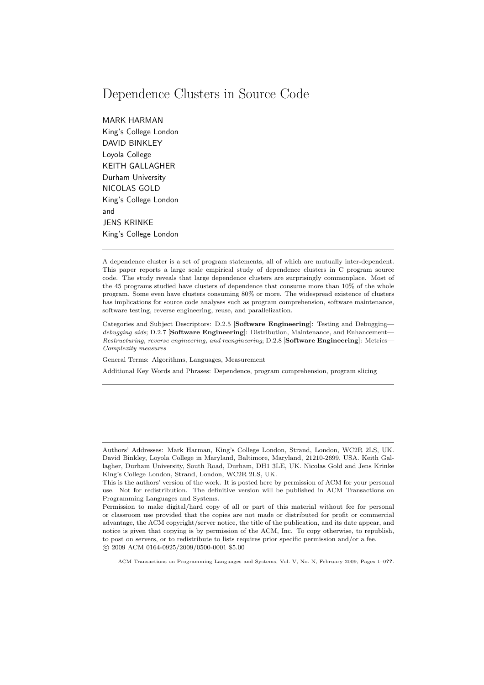# Dependence Clusters in Source Code

MARK HARMAN King's College London DAVID BINKLEY Loyola College KEITH GALLAGHER Durham University NICOLAS GOLD King's College London and JENS KRINKE King's College London

A dependence cluster is a set of program statements, all of which are mutually inter-dependent. This paper reports a large scale empirical study of dependence clusters in C program source code. The study reveals that large dependence clusters are surprisingly commonplace. Most of the 45 programs studied have clusters of dependence that consume more than 10% of the whole program. Some even have clusters consuming 80% or more. The widespread existence of clusters has implications for source code analyses such as program comprehension, software maintenance, software testing, reverse engineering, reuse, and parallelization.

Categories and Subject Descriptors: D.2.5 [Software Engineering]: Testing and Debugging *debugging aids*; D.2.7 [Software Engineering]: Distribution, Maintenance, and Enhancement— *Restructuring, reverse engineering, and reengineering*; D.2.8 [Software Engineering]: Metrics— *Complexity measures*

General Terms: Algorithms, Languages, Measurement

Additional Key Words and Phrases: Dependence, program comprehension, program slicing

Authors' Addresses: Mark Harman, King's College London, Strand, London, WC2R 2LS, UK. David Binkley, Loyola College in Maryland, Baltimore, Maryland, 21210-2699, USA. Keith Gallagher, Durham University, South Road, Durham, DH1 3LE, UK. Nicolas Gold and Jens Krinke King's College London, Strand, London, WC2R 2LS, UK.

This is the authors' version of the work. It is posted here by permission of ACM for your personal use. Not for redistribution. The definitive version will be published in ACM Transactions on Programming Languages and Systems.

Permission to make digital/hard copy of all or part of this material without fee for personal or classroom use provided that the copies are not made or distributed for profit or commercial advantage, the ACM copyright/server notice, the title of the publication, and its date appear, and notice is given that copying is by permission of the ACM, Inc. To copy otherwise, to republish, to post on servers, or to redistribute to lists requires prior specific permission and/or a fee. °c 2009 ACM 0164-0925/2009/0500-0001 \$5.00

ACM Transactions on Programming Languages and Systems, Vol. V, No. N, February 2009, Pages 1–0??.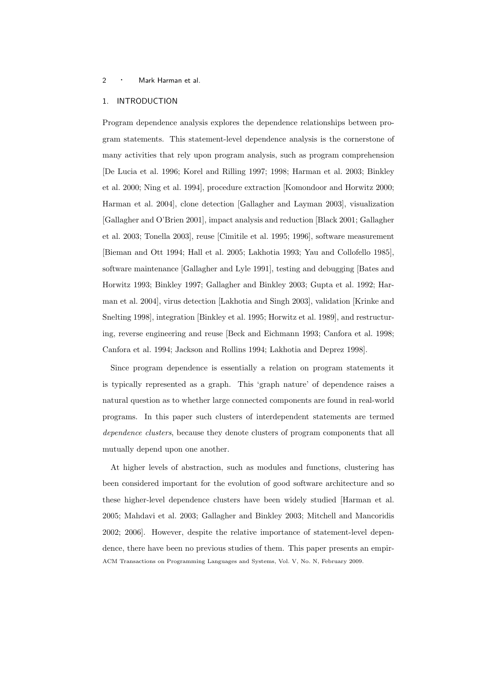# 1. INTRODUCTION

Program dependence analysis explores the dependence relationships between program statements. This statement-level dependence analysis is the cornerstone of many activities that rely upon program analysis, such as program comprehension [De Lucia et al. 1996; Korel and Rilling 1997; 1998; Harman et al. 2003; Binkley et al. 2000; Ning et al. 1994], procedure extraction [Komondoor and Horwitz 2000; Harman et al. 2004], clone detection [Gallagher and Layman 2003], visualization [Gallagher and O'Brien 2001], impact analysis and reduction [Black 2001; Gallagher et al. 2003; Tonella 2003], reuse [Cimitile et al. 1995; 1996], software measurement [Bieman and Ott 1994; Hall et al. 2005; Lakhotia 1993; Yau and Collofello 1985], software maintenance [Gallagher and Lyle 1991], testing and debugging [Bates and Horwitz 1993; Binkley 1997; Gallagher and Binkley 2003; Gupta et al. 1992; Harman et al. 2004], virus detection [Lakhotia and Singh 2003], validation [Krinke and Snelting 1998], integration [Binkley et al. 1995; Horwitz et al. 1989], and restructuring, reverse engineering and reuse [Beck and Eichmann 1993; Canfora et al. 1998; Canfora et al. 1994; Jackson and Rollins 1994; Lakhotia and Deprez 1998].

Since program dependence is essentially a relation on program statements it is typically represented as a graph. This 'graph nature' of dependence raises a natural question as to whether large connected components are found in real-world programs. In this paper such clusters of interdependent statements are termed dependence clusters, because they denote clusters of program components that all mutually depend upon one another.

At higher levels of abstraction, such as modules and functions, clustering has been considered important for the evolution of good software architecture and so these higher-level dependence clusters have been widely studied [Harman et al. 2005; Mahdavi et al. 2003; Gallagher and Binkley 2003; Mitchell and Mancoridis 2002; 2006]. However, despite the relative importance of statement-level dependence, there have been no previous studies of them. This paper presents an empir-ACM Transactions on Programming Languages and Systems, Vol. V, No. N, February 2009.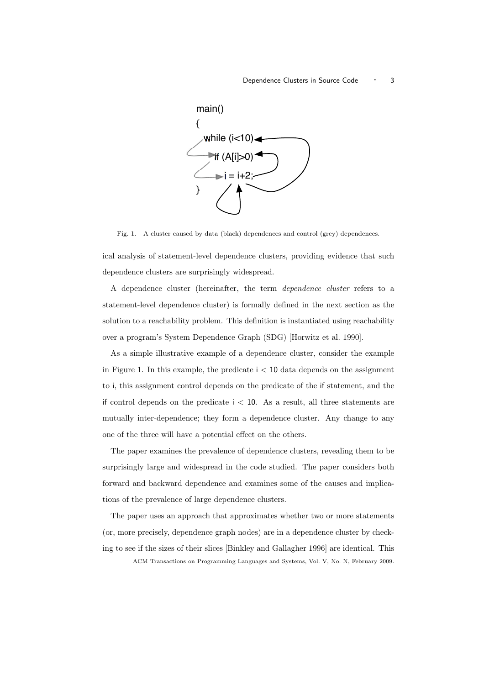### Dependence Clusters in Source Code <sup>1</sup> 3



Fig. 1. A cluster caused by data (black) dependences and control (grey) dependences.

ical analysis of statement-level dependence clusters, providing evidence that such dependence clusters are surprisingly widespread.

A dependence cluster (hereinafter, the term dependence cluster refers to a statement-level dependence cluster) is formally defined in the next section as the solution to a reachability problem. This definition is instantiated using reachability over a program's System Dependence Graph (SDG) [Horwitz et al. 1990].

As a simple illustrative example of a dependence cluster, consider the example in Figure 1. In this example, the predicate  $i < 10$  data depends on the assignment to i, this assignment control depends on the predicate of the if statement, and the if control depends on the predicate  $i < 10$ . As a result, all three statements are mutually inter-dependence; they form a dependence cluster. Any change to any one of the three will have a potential effect on the others.

The paper examines the prevalence of dependence clusters, revealing them to be surprisingly large and widespread in the code studied. The paper considers both forward and backward dependence and examines some of the causes and implications of the prevalence of large dependence clusters.

The paper uses an approach that approximates whether two or more statements (or, more precisely, dependence graph nodes) are in a dependence cluster by checking to see if the sizes of their slices [Binkley and Gallagher 1996] are identical. This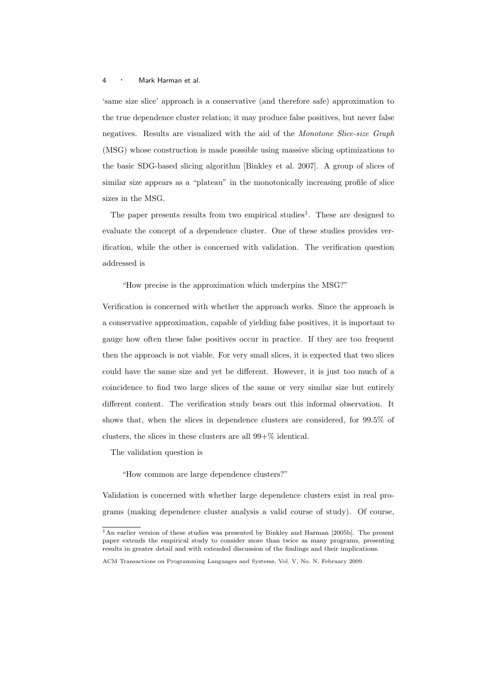'same size slice' approach is a conservative (and therefore safe) approximation to the true dependence cluster relation; it may produce false positives, but never false negatives. Results are visualized with the aid of the Monotone Slice-size Graph (MSG) whose construction is made possible using massive slicing optimizations to the basic SDG-based slicing algorithm [Binkley et al. 2007]. A group of slices of similar size appears as a "plateau" in the monotonically increasing profile of slice sizes in the MSG.

The paper presents results from two empirical studies<sup>1</sup>. These are designed to evaluate the concept of a dependence cluster. One of these studies provides verification, while the other is concerned with validation. The verification question addressed is

"How precise is the approximation which underpins the MSG?"

Verification is concerned with whether the approach works. Since the approach is a conservative approximation, capable of yielding false positives, it is important to gauge how often these false positives occur in practice. If they are too frequent then the approach is not viable. For very small slices, it is expected that two slices could have the same size and yet be different. However, it is just too much of a coincidence to find two large slices of the same or very similar size but entirely different content. The verification study bears out this informal observation. It shows that, when the slices in dependence clusters are considered, for 99.5% of clusters, the slices in these clusters are all 99+% identical.

The validation question is

"How common are large dependence clusters?"

Validation is concerned with whether large dependence clusters exist in real programs (making dependence cluster analysis a valid course of study). Of course,

<sup>1</sup>An earlier version of these studies was presented by Binkley and Harman [2005b]. The present paper extends the empirical study to consider more than twice as many programs, presenting results in greater detail and with extended discussion of the findings and their implications.

ACM Transactions on Programming Languages and Systems, Vol. V, No. N, February 2009.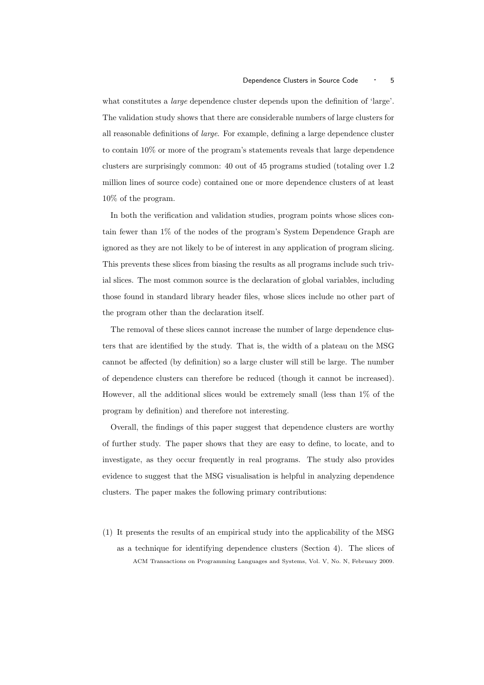what constitutes a large dependence cluster depends upon the definition of 'large'. The validation study shows that there are considerable numbers of large clusters for all reasonable definitions of large. For example, defining a large dependence cluster to contain 10% or more of the program's statements reveals that large dependence clusters are surprisingly common: 40 out of 45 programs studied (totaling over 1.2 million lines of source code) contained one or more dependence clusters of at least 10% of the program.

In both the verification and validation studies, program points whose slices contain fewer than 1% of the nodes of the program's System Dependence Graph are ignored as they are not likely to be of interest in any application of program slicing. This prevents these slices from biasing the results as all programs include such trivial slices. The most common source is the declaration of global variables, including those found in standard library header files, whose slices include no other part of the program other than the declaration itself.

The removal of these slices cannot increase the number of large dependence clusters that are identified by the study. That is, the width of a plateau on the MSG cannot be affected (by definition) so a large cluster will still be large. The number of dependence clusters can therefore be reduced (though it cannot be increased). However, all the additional slices would be extremely small (less than 1% of the program by definition) and therefore not interesting.

Overall, the findings of this paper suggest that dependence clusters are worthy of further study. The paper shows that they are easy to define, to locate, and to investigate, as they occur frequently in real programs. The study also provides evidence to suggest that the MSG visualisation is helpful in analyzing dependence clusters. The paper makes the following primary contributions:

(1) It presents the results of an empirical study into the applicability of the MSG as a technique for identifying dependence clusters (Section 4). The slices of ACM Transactions on Programming Languages and Systems, Vol. V, No. N, February 2009.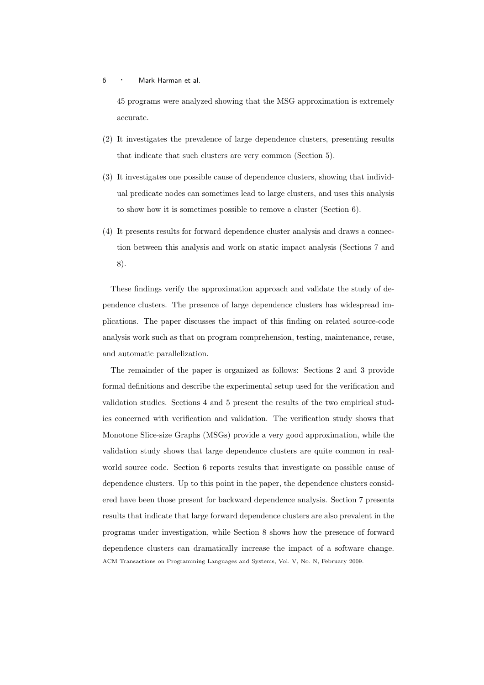45 programs were analyzed showing that the MSG approximation is extremely accurate.

- (2) It investigates the prevalence of large dependence clusters, presenting results that indicate that such clusters are very common (Section 5).
- (3) It investigates one possible cause of dependence clusters, showing that individual predicate nodes can sometimes lead to large clusters, and uses this analysis to show how it is sometimes possible to remove a cluster (Section 6).
- (4) It presents results for forward dependence cluster analysis and draws a connection between this analysis and work on static impact analysis (Sections 7 and 8).

These findings verify the approximation approach and validate the study of dependence clusters. The presence of large dependence clusters has widespread implications. The paper discusses the impact of this finding on related source-code analysis work such as that on program comprehension, testing, maintenance, reuse, and automatic parallelization.

The remainder of the paper is organized as follows: Sections 2 and 3 provide formal definitions and describe the experimental setup used for the verification and validation studies. Sections 4 and 5 present the results of the two empirical studies concerned with verification and validation. The verification study shows that Monotone Slice-size Graphs (MSGs) provide a very good approximation, while the validation study shows that large dependence clusters are quite common in realworld source code. Section 6 reports results that investigate on possible cause of dependence clusters. Up to this point in the paper, the dependence clusters considered have been those present for backward dependence analysis. Section 7 presents results that indicate that large forward dependence clusters are also prevalent in the programs under investigation, while Section 8 shows how the presence of forward dependence clusters can dramatically increase the impact of a software change. ACM Transactions on Programming Languages and Systems, Vol. V, No. N, February 2009.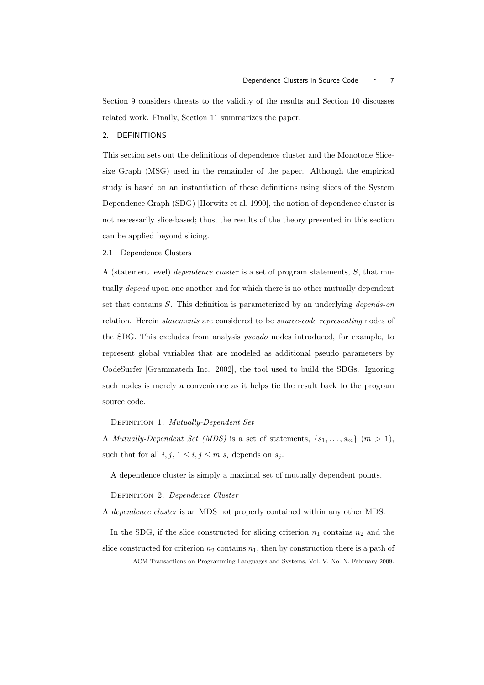Section 9 considers threats to the validity of the results and Section 10 discusses related work. Finally, Section 11 summarizes the paper.

### 2. DEFINITIONS

This section sets out the definitions of dependence cluster and the Monotone Slicesize Graph (MSG) used in the remainder of the paper. Although the empirical study is based on an instantiation of these definitions using slices of the System Dependence Graph (SDG) [Horwitz et al. 1990], the notion of dependence cluster is not necessarily slice-based; thus, the results of the theory presented in this section can be applied beyond slicing.

## 2.1 Dependence Clusters

A (statement level) dependence cluster is a set of program statements, S, that mutually *depend* upon one another and for which there is no other mutually dependent set that contains S. This definition is parameterized by an underlying depends-on relation. Herein statements are considered to be source-code representing nodes of the SDG. This excludes from analysis pseudo nodes introduced, for example, to represent global variables that are modeled as additional pseudo parameters by CodeSurfer [Grammatech Inc. 2002], the tool used to build the SDGs. Ignoring such nodes is merely a convenience as it helps tie the result back to the program source code.

# DEFINITION 1. Mutually-Dependent Set

A Mutually-Dependent Set (MDS) is a set of statements,  $\{s_1, \ldots, s_m\}$   $(m > 1)$ , such that for all  $i, j, 1 \leq i, j \leq m$  s<sub>i</sub> depends on s<sub>j</sub>.

A dependence cluster is simply a maximal set of mutually dependent points.

DEFINITION 2. Dependence Cluster

A dependence cluster is an MDS not properly contained within any other MDS.

In the SDG, if the slice constructed for slicing criterion  $n_1$  contains  $n_2$  and the slice constructed for criterion  $n_2$  contains  $n_1$ , then by construction there is a path of ACM Transactions on Programming Languages and Systems, Vol. V, No. N, February 2009.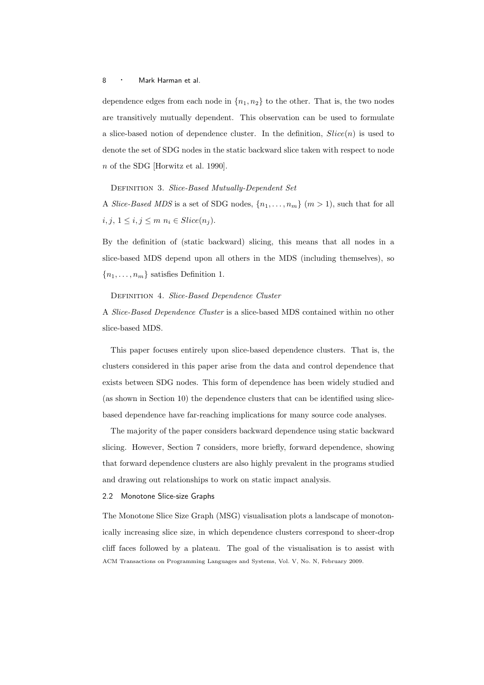dependence edges from each node in  $\{n_1, n_2\}$  to the other. That is, the two nodes are transitively mutually dependent. This observation can be used to formulate a slice-based notion of dependence cluster. In the definition,  $Slice(n)$  is used to denote the set of SDG nodes in the static backward slice taken with respect to node n of the SDG [Horwitz et al. 1990].

DEFINITION 3. Slice-Based Mutually-Dependent Set

A *Slice-Based MDS* is a set of SDG nodes,  $\{n_1, \ldots, n_m\}$   $(m > 1)$ , such that for all  $i,j,\,1\leq i,j\leq m$   $n_i\in \operatorname{Slice}(n_j).$ 

By the definition of (static backward) slicing, this means that all nodes in a slice-based MDS depend upon all others in the MDS (including themselves), so  ${n_1, \ldots, n_m}$  satisfies Definition 1.

#### DEFINITION 4. Slice-Based Dependence Cluster

A Slice-Based Dependence Cluster is a slice-based MDS contained within no other slice-based MDS.

This paper focuses entirely upon slice-based dependence clusters. That is, the clusters considered in this paper arise from the data and control dependence that exists between SDG nodes. This form of dependence has been widely studied and (as shown in Section 10) the dependence clusters that can be identified using slicebased dependence have far-reaching implications for many source code analyses.

The majority of the paper considers backward dependence using static backward slicing. However, Section 7 considers, more briefly, forward dependence, showing that forward dependence clusters are also highly prevalent in the programs studied and drawing out relationships to work on static impact analysis.

### 2.2 Monotone Slice-size Graphs

The Monotone Slice Size Graph (MSG) visualisation plots a landscape of monotonically increasing slice size, in which dependence clusters correspond to sheer-drop cliff faces followed by a plateau. The goal of the visualisation is to assist with ACM Transactions on Programming Languages and Systems, Vol. V, No. N, February 2009.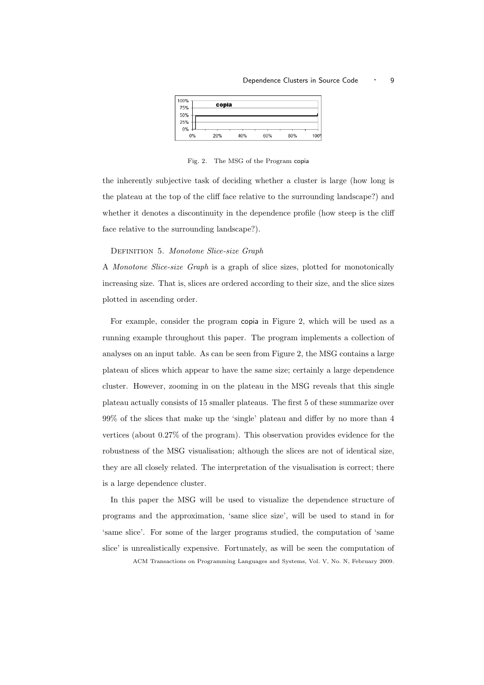#### Dependence Clusters in Source Code  $\cdot$  9



Fig. 2. The MSG of the Program copia

the inherently subjective task of deciding whether a cluster is large (how long is the plateau at the top of the cliff face relative to the surrounding landscape?) and whether it denotes a discontinuity in the dependence profile (how steep is the cliff face relative to the surrounding landscape?).

### DEFINITION 5. Monotone Slice-size Graph

A Monotone Slice-size Graph is a graph of slice sizes, plotted for monotonically increasing size. That is, slices are ordered according to their size, and the slice sizes plotted in ascending order.

For example, consider the program copia in Figure 2, which will be used as a running example throughout this paper. The program implements a collection of analyses on an input table. As can be seen from Figure 2, the MSG contains a large plateau of slices which appear to have the same size; certainly a large dependence cluster. However, zooming in on the plateau in the MSG reveals that this single plateau actually consists of 15 smaller plateaus. The first 5 of these summarize over 99% of the slices that make up the 'single' plateau and differ by no more than 4 vertices (about 0.27% of the program). This observation provides evidence for the robustness of the MSG visualisation; although the slices are not of identical size, they are all closely related. The interpretation of the visualisation is correct; there is a large dependence cluster.

In this paper the MSG will be used to visualize the dependence structure of programs and the approximation, 'same slice size', will be used to stand in for 'same slice'. For some of the larger programs studied, the computation of 'same slice' is unrealistically expensive. Fortunately, as will be seen the computation of

ACM Transactions on Programming Languages and Systems, Vol. V, No. N, February 2009.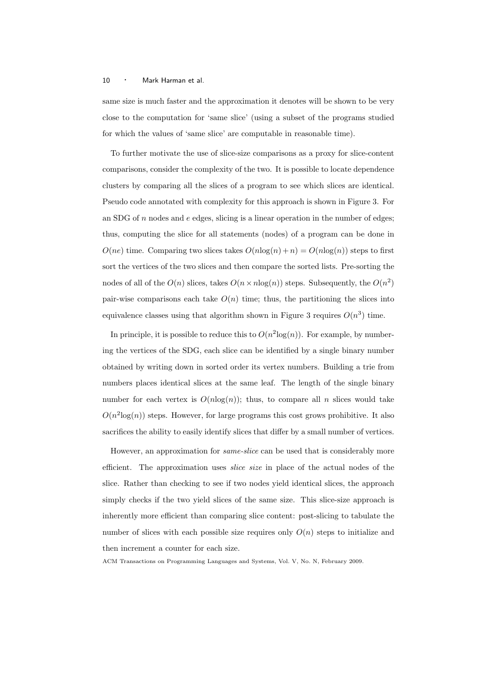same size is much faster and the approximation it denotes will be shown to be very close to the computation for 'same slice' (using a subset of the programs studied for which the values of 'same slice' are computable in reasonable time).

To further motivate the use of slice-size comparisons as a proxy for slice-content comparisons, consider the complexity of the two. It is possible to locate dependence clusters by comparing all the slices of a program to see which slices are identical. Pseudo code annotated with complexity for this approach is shown in Figure 3. For an SDG of  $n$  nodes and  $e$  edges, slicing is a linear operation in the number of edges; thus, computing the slice for all statements (nodes) of a program can be done in  $O(ne)$  time. Comparing two slices takes  $O(n \log(n) + n) = O(n \log(n))$  steps to first sort the vertices of the two slices and then compare the sorted lists. Pre-sorting the nodes of all of the  $O(n)$  slices, takes  $O(n \times n \log(n))$  steps. Subsequently, the  $O(n^2)$ pair-wise comparisons each take  $O(n)$  time; thus, the partitioning the slices into equivalence classes using that algorithm shown in Figure 3 requires  $O(n^3)$  time.

In principle, it is possible to reduce this to  $O(n^2 \log(n))$ . For example, by numbering the vertices of the SDG, each slice can be identified by a single binary number obtained by writing down in sorted order its vertex numbers. Building a trie from numbers places identical slices at the same leaf. The length of the single binary number for each vertex is  $O(n \log(n))$ ; thus, to compare all n slices would take  $O(n^2 \log(n))$  steps. However, for large programs this cost grows prohibitive. It also sacrifices the ability to easily identify slices that differ by a small number of vertices.

However, an approximation for same-slice can be used that is considerably more efficient. The approximation uses slice size in place of the actual nodes of the slice. Rather than checking to see if two nodes yield identical slices, the approach simply checks if the two yield slices of the same size. This slice-size approach is inherently more efficient than comparing slice content: post-slicing to tabulate the number of slices with each possible size requires only  $O(n)$  steps to initialize and then increment a counter for each size.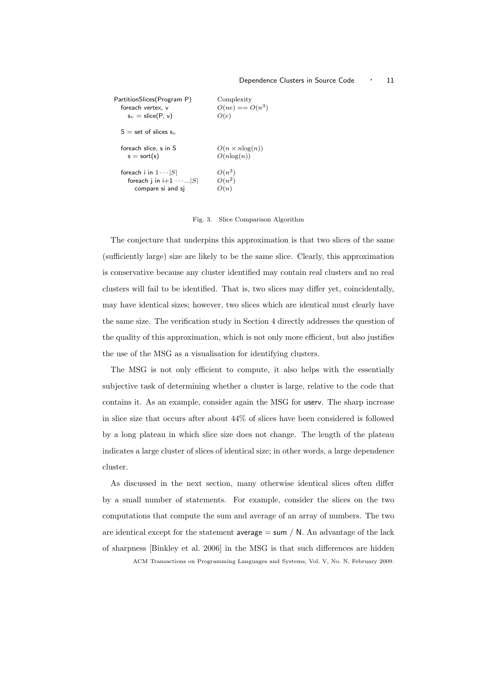| PartitionSlices(Program P)                                                         | Complexity                                |
|------------------------------------------------------------------------------------|-------------------------------------------|
| foreach vertex. v                                                                  | $O(ne) == O(n^3)$                         |
| $s_v =$ slice(P, v)                                                                | O(e)                                      |
| $S =$ set of slices $s_v$                                                          |                                           |
| foreach slice. s in S<br>$s = sort(s)$                                             | $O(n \times n \log(n))$<br>$O(n \log(n))$ |
| foreach i in $1 \cdots  S $<br>foreach i in $i+1 \cdots$   S <br>compare si and sj | $O(n^3)$<br>$O(n^2)$<br>O(n)              |

### Fig. 3. Slice Comparison Algorithm

The conjecture that underpins this approximation is that two slices of the same (sufficiently large) size are likely to be the same slice. Clearly, this approximation is conservative because any cluster identified may contain real clusters and no real clusters will fail to be identified. That is, two slices may differ yet, coincidentally, may have identical sizes; however, two slices which are identical must clearly have the same size. The verification study in Section 4 directly addresses the question of the quality of this approximation, which is not only more efficient, but also justifies the use of the MSG as a visualisation for identifying clusters.

The MSG is not only efficient to compute, it also helps with the essentially subjective task of determining whether a cluster is large, relative to the code that contains it. As an example, consider again the MSG for userv. The sharp increase in slice size that occurs after about 44% of slices have been considered is followed by a long plateau in which slice size does not change. The length of the plateau indicates a large cluster of slices of identical size; in other words, a large dependence cluster.

As discussed in the next section, many otherwise identical slices often differ by a small number of statements. For example, consider the slices on the two computations that compute the sum and average of an array of numbers. The two are identical except for the statement average  $=$  sum  $/$  N. An advantage of the lack of sharpness [Binkley et al. 2006] in the MSG is that such differences are hidden

ACM Transactions on Programming Languages and Systems, Vol. V, No. N, February 2009.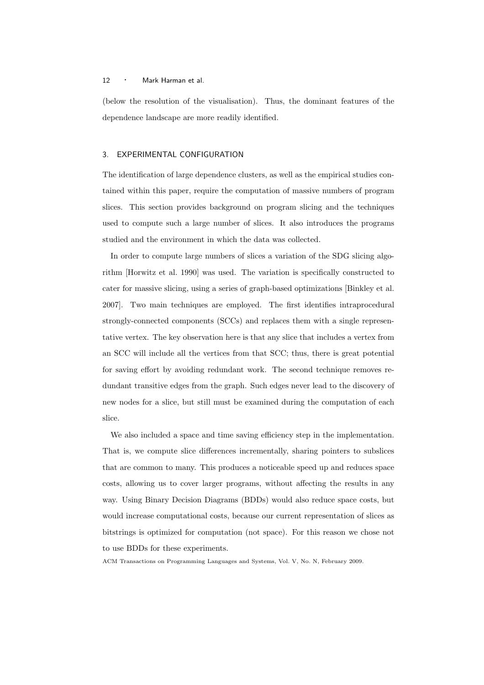(below the resolution of the visualisation). Thus, the dominant features of the dependence landscape are more readily identified.

### 3. EXPERIMENTAL CONFIGURATION

The identification of large dependence clusters, as well as the empirical studies contained within this paper, require the computation of massive numbers of program slices. This section provides background on program slicing and the techniques used to compute such a large number of slices. It also introduces the programs studied and the environment in which the data was collected.

In order to compute large numbers of slices a variation of the SDG slicing algorithm [Horwitz et al. 1990] was used. The variation is specifically constructed to cater for massive slicing, using a series of graph-based optimizations [Binkley et al. 2007]. Two main techniques are employed. The first identifies intraprocedural strongly-connected components (SCCs) and replaces them with a single representative vertex. The key observation here is that any slice that includes a vertex from an SCC will include all the vertices from that SCC; thus, there is great potential for saving effort by avoiding redundant work. The second technique removes redundant transitive edges from the graph. Such edges never lead to the discovery of new nodes for a slice, but still must be examined during the computation of each slice.

We also included a space and time saving efficiency step in the implementation. That is, we compute slice differences incrementally, sharing pointers to subslices that are common to many. This produces a noticeable speed up and reduces space costs, allowing us to cover larger programs, without affecting the results in any way. Using Binary Decision Diagrams (BDDs) would also reduce space costs, but would increase computational costs, because our current representation of slices as bitstrings is optimized for computation (not space). For this reason we chose not to use BDDs for these experiments.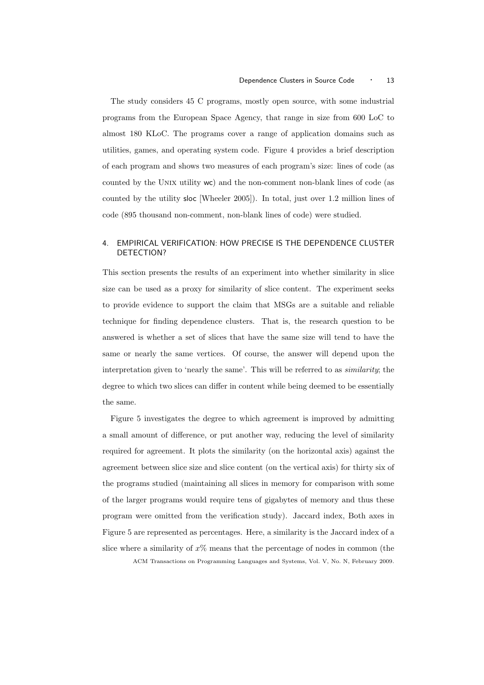The study considers 45 C programs, mostly open source, with some industrial programs from the European Space Agency, that range in size from 600 LoC to almost 180 KLoC. The programs cover a range of application domains such as utilities, games, and operating system code. Figure 4 provides a brief description of each program and shows two measures of each program's size: lines of code (as counted by the UNIX utility wc) and the non-comment non-blank lines of code (as counted by the utility sloc [Wheeler 2005]). In total, just over 1.2 million lines of code (895 thousand non-comment, non-blank lines of code) were studied.

# 4. EMPIRICAL VERIFICATION: HOW PRECISE IS THE DEPENDENCE CLUSTER DETECTION?

This section presents the results of an experiment into whether similarity in slice size can be used as a proxy for similarity of slice content. The experiment seeks to provide evidence to support the claim that MSGs are a suitable and reliable technique for finding dependence clusters. That is, the research question to be answered is whether a set of slices that have the same size will tend to have the same or nearly the same vertices. Of course, the answer will depend upon the interpretation given to 'nearly the same'. This will be referred to as similarity; the degree to which two slices can differ in content while being deemed to be essentially the same.

Figure 5 investigates the degree to which agreement is improved by admitting a small amount of difference, or put another way, reducing the level of similarity required for agreement. It plots the similarity (on the horizontal axis) against the agreement between slice size and slice content (on the vertical axis) for thirty six of the programs studied (maintaining all slices in memory for comparison with some of the larger programs would require tens of gigabytes of memory and thus these program were omitted from the verification study). Jaccard index, Both axes in Figure 5 are represented as percentages. Here, a similarity is the Jaccard index of a slice where a similarity of  $x\%$  means that the percentage of nodes in common (the ACM Transactions on Programming Languages and Systems, Vol. V, No. N, February 2009.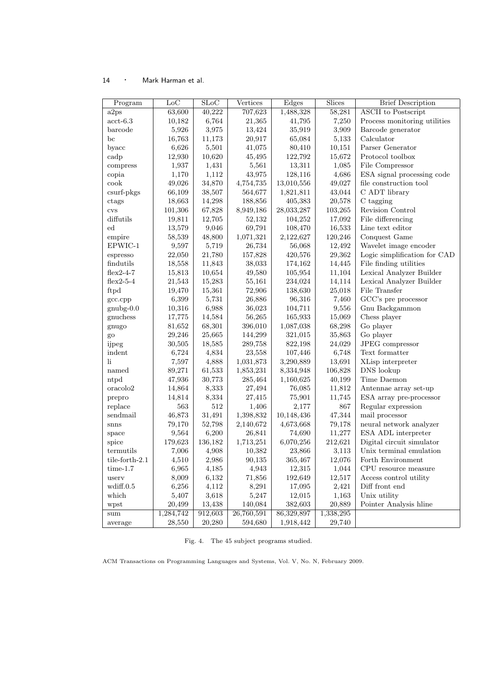| Program          | $_{\text{LoC}}$ | $\overline{\text{SLoC}}$ | Vertices   | Edges      | <b>Slices</b> | <b>Brief Description</b>     |
|------------------|-----------------|--------------------------|------------|------------|---------------|------------------------------|
| a2ps             | 63,600          | 40,222                   | 707,623    | 1,488,328  | 58,281        | <b>ASCII</b> to Postscript   |
| $\text{act-}6.3$ | 10,182          | 6,764                    | 21,365     | 41,795     | 7,250         | Process monitoring utilities |
| barcode          | 5,926           | 3,975                    | 13,424     | 35,919     | 3,909         | Barcode generator            |
| bc               | 16,763          | 11,173                   | 20,917     | 65,084     | 5,133         | Calculator                   |
| byacc            | 6,626           | 5,501                    | 41,075     | 80,410     | 10,151        | Parser Generator             |
| cadp             | 12,930          | 10,620                   | 45,495     | 122,792    | 15,672        | Protocol toolbox             |
| compress         | 1,937           | 1,431                    | 5,561      | 13,311     | 1,085         | File Compressor              |
| copia            | 1,170           | 1,112                    | 43,975     | 128,116    | 4,686         | ESA signal processing code   |
| cook             | 49,026          | 34,870                   | 4,754,735  | 13,010,556 | 49,027        | file construction tool       |
| csurf-pkgs       | 66,109          | 38,507                   | 564,677    | 1,821,811  | 43,044        | C ADT library                |
| ctags            | 18,663          | 14,298                   | 188,856    | 405,383    | 20,578        | C tagging                    |
| <b>CVS</b>       | 101,306         | 67,828                   | 8,949,186  | 28,033,287 | 103,265       | Revision Control             |
| diffutils        | 19,811          | 12,705                   | 52,132     | 104,252    | 17,092        | File differencing            |
| $_{\rm ed}$      | 13,579          | 9,046                    | 69,791     | 108,470    | 16,533        | Line text editor             |
| empire           | 58,539          | 48,800                   | 1,071,321  | 2,122,627  | 120,246       | Conquest Game                |
| EPWIC-1          | 9,597           | 5,719                    | 26,734     | 56,068     | 12,492        | Wavelet image encoder        |
| espresso         | 22,050          | 21,780                   | 157,828    | 420,576    | 29,362        | Logic simplification for CAD |
| findutils        | 18,558          | 11,843                   | 38,033     | 174,162    | 14,445        | File finding utilities       |
| $flex2-4-7$      | 15,813          | 10,654                   | 49,580     | 105,954    | 11,104        | Lexical Analyzer Builder     |
| $flex2-5-4$      | 21,543          | 15,283                   | 55,161     | 234,024    | 14,114        | Lexical Analyzer Builder     |
| ftpd             | 19,470          | 15,361                   | 72,906     | 138,630    | 25,018        | File Transfer                |
| gcc.cpp          | 6,399           | 5,731                    | 26,886     | 96,316     | 7,460         | GCC's pre processor          |
| $gnuby-0.0$      | 10,316          | 6,988                    | 36,023     | 104,711    | 9,556         | Gnu Backgammon               |
| gnuchess         | 17,775          | 14,584                   | 56,265     | 165,933    | 15,069        | Chess player                 |
| gnugo            | 81,652          | 68,301                   | 396,010    | 1,087,038  | 68,298        | Go player                    |
| go               | 29,246          | 25,665                   | 144,299    | 321,015    | 35,863        | Go player                    |
| ijpeg            | 30,505          | 18,585                   | 289,758    | 822,198    | 24,029        | JPEG compressor              |
| indent           | 6,724           | 4,834                    | 23,558     | 107,446    | 6,748         | Text formatter               |
| li               | 7,597           | 4,888                    | 1,031,873  | 3,290,889  | 13,691        | XLisp interpreter            |
| named            | 89,271          | 61,533                   | 1,853,231  | 8,334,948  | 106,828       | DNS lookup                   |
| ntpd             | 47,936          | 30,773                   | 285,464    | 1,160,625  | 40,199        | Time Daemon                  |
| oracolo2         | 14,864          | 8,333                    | 27,494     | 76,085     | 11,812        | Antennae array set-up        |
| prepro           | 14,814          | 8,334                    | 27,415     | 75,901     | 11,745        | ESA array pre-processor      |
| replace          | 563             | 512                      | 1,406      | 2,177      | 867           | Regular expression           |
| sendmail         | 46,873          | 31,491                   | 1,398,832  | 10,148,436 | 47,344        | mail processor               |
| snns             | 79,170          | 52,798                   | 2,140,672  | 4,673,668  | 79,178        | neural network analyzer      |
| space            | 9,564           | 6,200                    | 26,841     | 74,690     | 11,277        | ESA ADL interpreter          |
| spice            | 179,623         | 136,182                  | 1,713,251  | 6,070,256  | 212,621       | Digital circuit simulator    |
| termutils        | 7,006           | 4,908                    | 10,382     | 23,866     | 3,113         | Unix terminal emulation      |
| tile-forth-2.1   | 4,510           | $2,\!986$                | 90,135     | 365,467    | 12,076        | Forth Environment            |
| $time-1.7$       | 6,965           | 4,185                    | 4,943      | 12,315     | 1,044         | CPU resource measure         |
| userv            | 8,009           | 6,132                    | 71,856     | 192,649    | 12,517        | Access control utility       |
| wdiff.0.5        | 6,256           | 4,112                    | 8,291      | 17,095     | 2,421         | Diff front end               |
| which            | 5,407           | 3,618                    | 5,247      | 12,015     | 1,163         | Unix utility                 |
| wpst             | 20,499          | 13,438                   | 140,084    | 382,603    | 20,889        | Pointer Analysis hline       |
| sum              | 1,284,742       | 912,603                  | 26,760,591 | 86,329,897 | 1,338,295     |                              |
| average          | 28,550          | 20,280                   | 594,680    | 1,918,442  | 29,740        |                              |

Fig. 4. The 45 subject programs studied.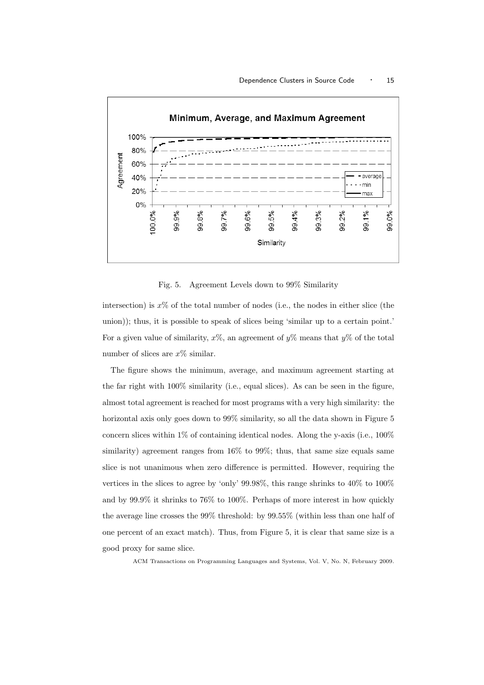

Fig. 5. Agreement Levels down to 99% Similarity

intersection) is  $x\%$  of the total number of nodes (i.e., the nodes in either slice (the union)); thus, it is possible to speak of slices being 'similar up to a certain point.' For a given value of similarity,  $x\%$ , an agreement of  $y\%$  means that  $y\%$  of the total number of slices are  $x\%$  similar.

The figure shows the minimum, average, and maximum agreement starting at the far right with 100% similarity (i.e., equal slices). As can be seen in the figure, almost total agreement is reached for most programs with a very high similarity: the horizontal axis only goes down to  $99\%$  similarity, so all the data shown in Figure 5 concern slices within 1% of containing identical nodes. Along the y-axis (i.e., 100% similarity) agreement ranges from 16% to 99%; thus, that same size equals same slice is not unanimous when zero difference is permitted. However, requiring the vertices in the slices to agree by 'only' 99.98%, this range shrinks to 40% to 100% and by 99.9% it shrinks to 76% to 100%. Perhaps of more interest in how quickly the average line crosses the 99% threshold: by 99.55% (within less than one half of one percent of an exact match). Thus, from Figure 5, it is clear that same size is a good proxy for same slice.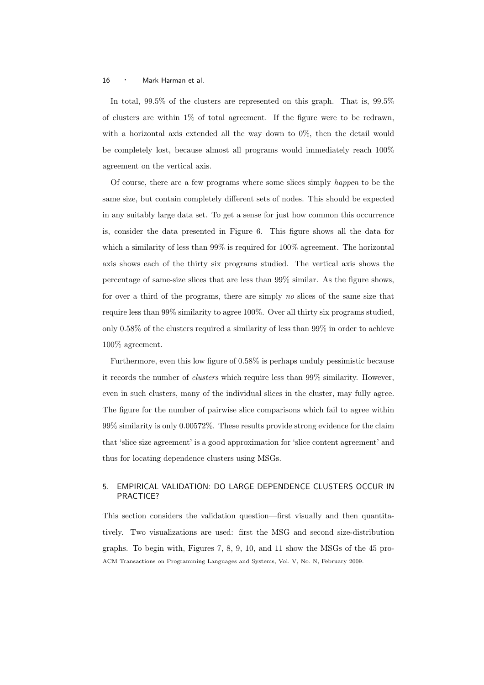In total, 99.5% of the clusters are represented on this graph. That is, 99.5% of clusters are within 1% of total agreement. If the figure were to be redrawn, with a horizontal axis extended all the way down to 0%, then the detail would be completely lost, because almost all programs would immediately reach 100% agreement on the vertical axis.

Of course, there are a few programs where some slices simply happen to be the same size, but contain completely different sets of nodes. This should be expected in any suitably large data set. To get a sense for just how common this occurrence is, consider the data presented in Figure 6. This figure shows all the data for which a similarity of less than 99% is required for 100% agreement. The horizontal axis shows each of the thirty six programs studied. The vertical axis shows the percentage of same-size slices that are less than 99% similar. As the figure shows, for over a third of the programs, there are simply no slices of the same size that require less than 99% similarity to agree 100%. Over all thirty six programs studied, only 0.58% of the clusters required a similarity of less than 99% in order to achieve 100% agreement.

Furthermore, even this low figure of 0.58% is perhaps unduly pessimistic because it records the number of clusters which require less than 99% similarity. However, even in such clusters, many of the individual slices in the cluster, may fully agree. The figure for the number of pairwise slice comparisons which fail to agree within 99% similarity is only 0.00572%. These results provide strong evidence for the claim that 'slice size agreement' is a good approximation for 'slice content agreement' and thus for locating dependence clusters using MSGs.

# 5. EMPIRICAL VALIDATION: DO LARGE DEPENDENCE CLUSTERS OCCUR IN PRACTICE?

This section considers the validation question—first visually and then quantitatively. Two visualizations are used: first the MSG and second size-distribution graphs. To begin with, Figures 7, 8, 9, 10, and 11 show the MSGs of the 45 pro-ACM Transactions on Programming Languages and Systems, Vol. V, No. N, February 2009.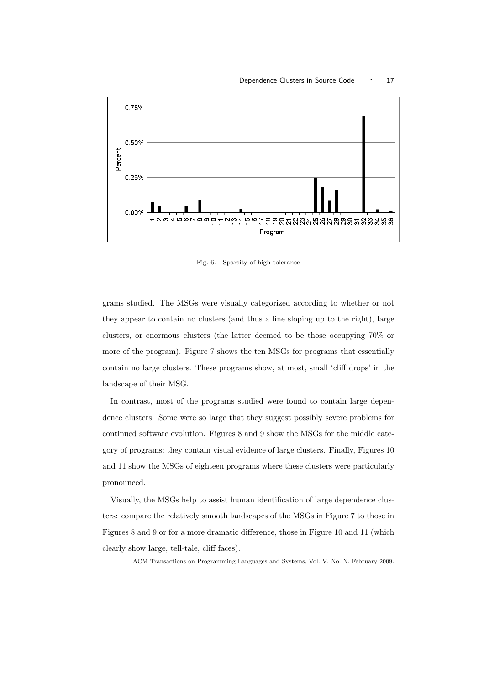

Fig. 6. Sparsity of high tolerance

grams studied. The MSGs were visually categorized according to whether or not they appear to contain no clusters (and thus a line sloping up to the right), large clusters, or enormous clusters (the latter deemed to be those occupying 70% or more of the program). Figure 7 shows the ten MSGs for programs that essentially contain no large clusters. These programs show, at most, small 'cliff drops' in the landscape of their MSG.

In contrast, most of the programs studied were found to contain large dependence clusters. Some were so large that they suggest possibly severe problems for continued software evolution. Figures 8 and 9 show the MSGs for the middle category of programs; they contain visual evidence of large clusters. Finally, Figures 10 and 11 show the MSGs of eighteen programs where these clusters were particularly pronounced.

Visually, the MSGs help to assist human identification of large dependence clusters: compare the relatively smooth landscapes of the MSGs in Figure 7 to those in Figures 8 and 9 or for a more dramatic difference, those in Figure 10 and 11 (which clearly show large, tell-tale, cliff faces).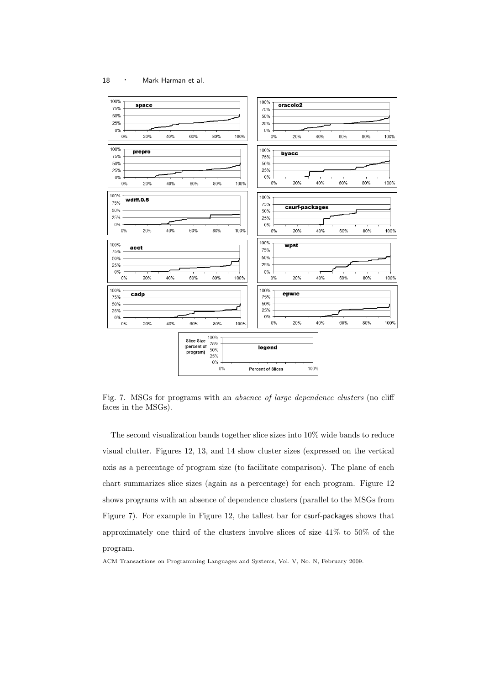

Fig. 7. MSGs for programs with an *absence of large dependence clusters* (no cliff faces in the MSGs).

The second visualization bands together slice sizes into 10% wide bands to reduce visual clutter. Figures 12, 13, and 14 show cluster sizes (expressed on the vertical axis as a percentage of program size (to facilitate comparison). The plane of each chart summarizes slice sizes (again as a percentage) for each program. Figure 12 shows programs with an absence of dependence clusters (parallel to the MSGs from Figure 7). For example in Figure 12, the tallest bar for csurf-packages shows that approximately one third of the clusters involve slices of size 41% to 50% of the program.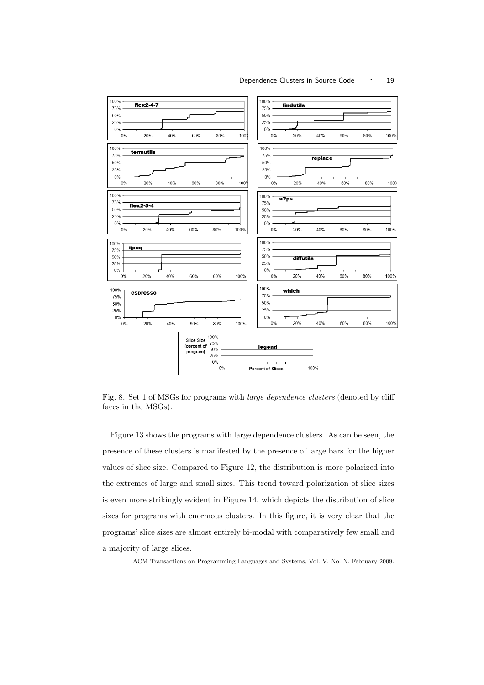

Fig. 8. Set 1 of MSGs for programs with large dependence clusters (denoted by cliff faces in the MSGs).

Figure 13 shows the programs with large dependence clusters. As can be seen, the presence of these clusters is manifested by the presence of large bars for the higher values of slice size. Compared to Figure 12, the distribution is more polarized into the extremes of large and small sizes. This trend toward polarization of slice sizes is even more strikingly evident in Figure 14, which depicts the distribution of slice sizes for programs with enormous clusters. In this figure, it is very clear that the programs' slice sizes are almost entirely bi-modal with comparatively few small and a majority of large slices.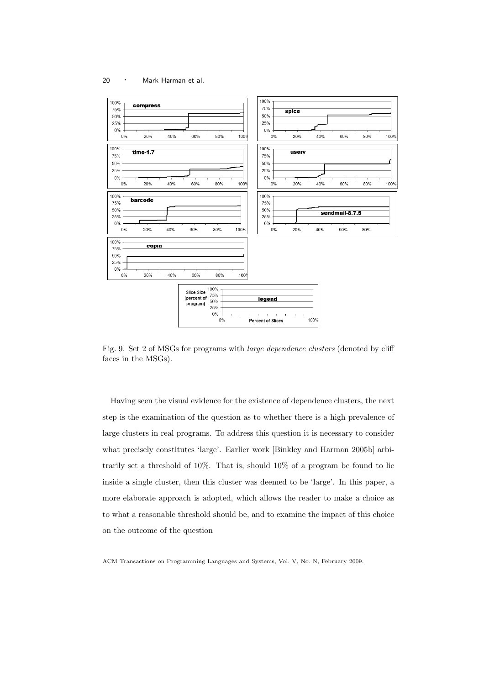

Fig. 9. Set 2 of MSGs for programs with large dependence clusters (denoted by cliff faces in the MSGs).

Having seen the visual evidence for the existence of dependence clusters, the next step is the examination of the question as to whether there is a high prevalence of large clusters in real programs. To address this question it is necessary to consider what precisely constitutes 'large'. Earlier work [Binkley and Harman 2005b] arbitrarily set a threshold of 10%. That is, should 10% of a program be found to lie inside a single cluster, then this cluster was deemed to be 'large'. In this paper, a more elaborate approach is adopted, which allows the reader to make a choice as to what a reasonable threshold should be, and to examine the impact of this choice on the outcome of the question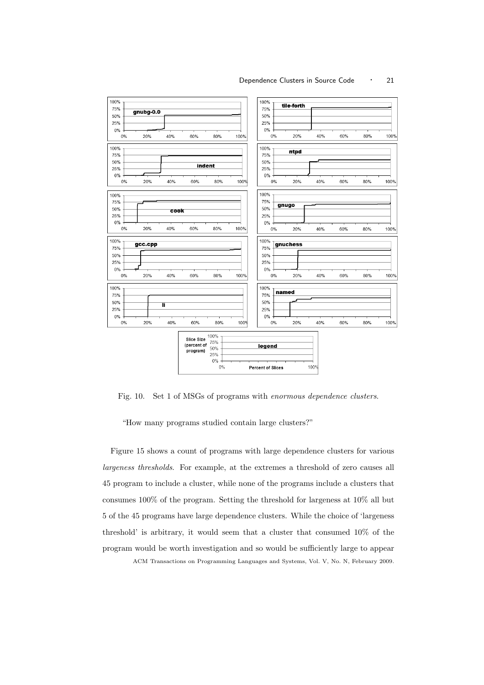

Fig. 10. Set 1 of MSGs of programs with enormous dependence clusters.

"How many programs studied contain large clusters?"

Figure 15 shows a count of programs with large dependence clusters for various largeness thresholds. For example, at the extremes a threshold of zero causes all 45 program to include a cluster, while none of the programs include a clusters that consumes 100% of the program. Setting the threshold for largeness at 10% all but 5 of the 45 programs have large dependence clusters. While the choice of 'largeness threshold' is arbitrary, it would seem that a cluster that consumed 10% of the program would be worth investigation and so would be sufficiently large to appear ACM Transactions on Programming Languages and Systems, Vol. V, No. N, February 2009.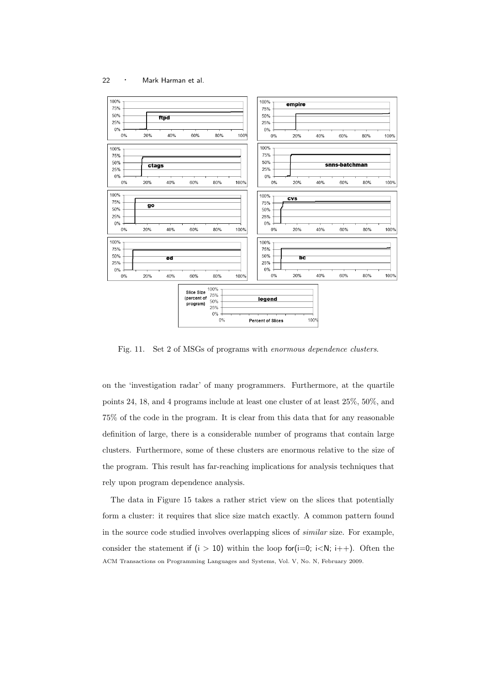

Fig. 11. Set 2 of MSGs of programs with enormous dependence clusters.

on the 'investigation radar' of many programmers. Furthermore, at the quartile points 24, 18, and 4 programs include at least one cluster of at least 25%, 50%, and 75% of the code in the program. It is clear from this data that for any reasonable definition of large, there is a considerable number of programs that contain large clusters. Furthermore, some of these clusters are enormous relative to the size of the program. This result has far-reaching implications for analysis techniques that rely upon program dependence analysis.

The data in Figure 15 takes a rather strict view on the slices that potentially form a cluster: it requires that slice size match exactly. A common pattern found in the source code studied involves overlapping slices of similar size. For example, consider the statement if  $(i > 10)$  within the loop for  $(i=0; i < N; i++)$ . Often the ACM Transactions on Programming Languages and Systems, Vol. V, No. N, February 2009.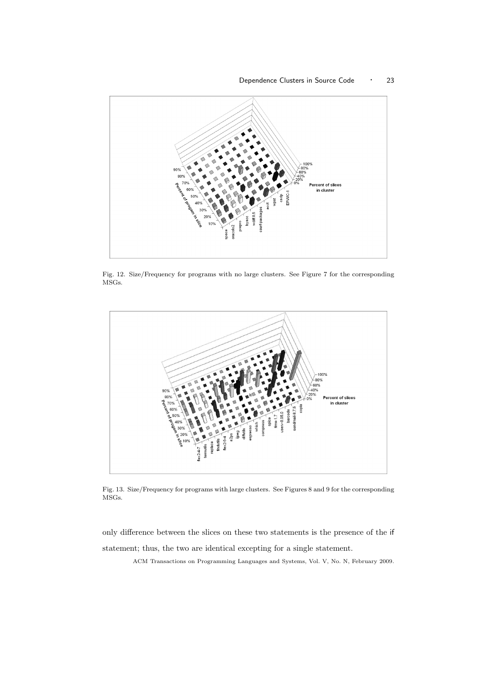

Fig. 12. Size/Frequency for programs with no large clusters. See Figure 7 for the corresponding MSGs.



Fig. 13. Size/Frequency for programs with large clusters. See Figures 8 and 9 for the corresponding MSGs.

only difference between the slices on these two statements is the presence of the if statement; thus, the two are identical excepting for a single statement.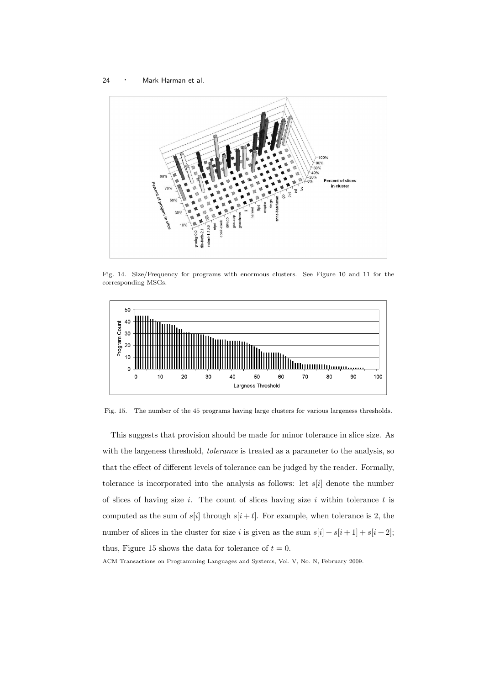

Fig. 14. Size/Frequency for programs with enormous clusters. See Figure 10 and 11 for the corresponding MSGs.



Fig. 15. The number of the 45 programs having large clusters for various largeness thresholds.

This suggests that provision should be made for minor tolerance in slice size. As with the largeness threshold, *tolerance* is treated as a parameter to the analysis, so that the effect of different levels of tolerance can be judged by the reader. Formally, tolerance is incorporated into the analysis as follows: let  $s[i]$  denote the number of slices of having size i. The count of slices having size i within tolerance  $t$  is computed as the sum of  $s[i]$  through  $s[i + t]$ . For example, when tolerance is 2, the number of slices in the cluster for size i is given as the sum  $s[i] + s[i+1] + s[i+2]$ ; thus, Figure 15 shows the data for tolerance of  $t = 0$ .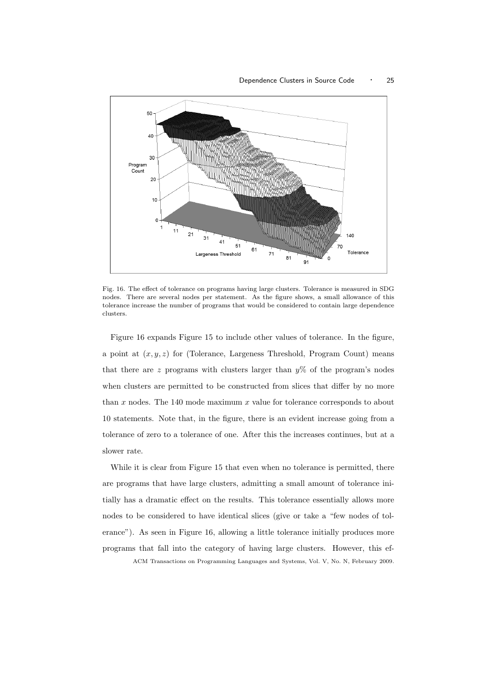

Fig. 16. The effect of tolerance on programs having large clusters. Tolerance is measured in SDG nodes. There are several nodes per statement. As the figure shows, a small allowance of this tolerance increase the number of programs that would be considered to contain large dependence clusters.

Figure 16 expands Figure 15 to include other values of tolerance. In the figure, a point at  $(x, y, z)$  for (Tolerance, Largeness Threshold, Program Count) means that there are z programs with clusters larger than  $\psi^{\%}$  of the program's nodes when clusters are permitted to be constructed from slices that differ by no more than  $x$  nodes. The 140 mode maximum  $x$  value for tolerance corresponds to about 10 statements. Note that, in the figure, there is an evident increase going from a tolerance of zero to a tolerance of one. After this the increases continues, but at a slower rate.

While it is clear from Figure 15 that even when no tolerance is permitted, there are programs that have large clusters, admitting a small amount of tolerance initially has a dramatic effect on the results. This tolerance essentially allows more nodes to be considered to have identical slices (give or take a "few nodes of tolerance"). As seen in Figure 16, allowing a little tolerance initially produces more programs that fall into the category of having large clusters. However, this ef-ACM Transactions on Programming Languages and Systems, Vol. V, No. N, February 2009.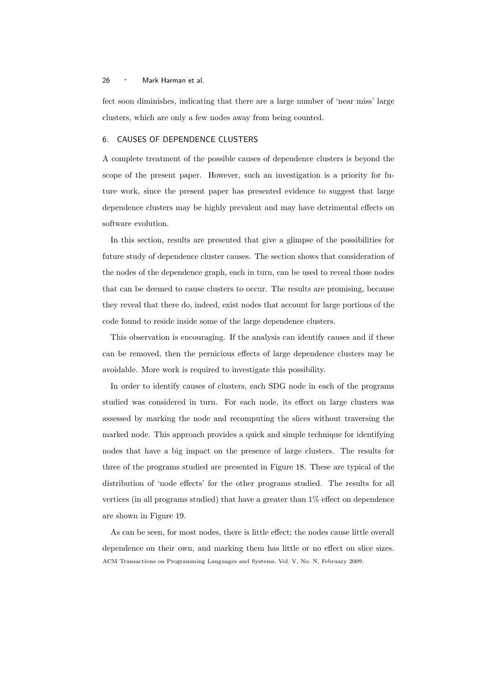fect soon diminishes, indicating that there are a large number of 'near miss' large clusters, which are only a few nodes away from being counted.

### 6. CAUSES OF DEPENDENCE CLUSTERS

A complete treatment of the possible causes of dependence clusters is beyond the scope of the present paper. However, such an investigation is a priority for future work, since the present paper has presented evidence to suggest that large dependence clusters may be highly prevalent and may have detrimental effects on software evolution.

In this section, results are presented that give a glimpse of the possibilities for future study of dependence cluster causes. The section shows that consideration of the nodes of the dependence graph, each in turn, can be used to reveal those nodes that can be deemed to cause clusters to occur. The results are promising, because they reveal that there do, indeed, exist nodes that account for large portions of the code found to reside inside some of the large dependence clusters.

This observation is encouraging. If the analysis can identify causes and if these can be removed, then the pernicious effects of large dependence clusters may be avoidable. More work is required to investigate this possibility.

In order to identify causes of clusters, each SDG node in each of the programs studied was considered in turn. For each node, its effect on large clusters was assessed by marking the node and recomputing the slices without traversing the marked node. This approach provides a quick and simple technique for identifying nodes that have a big impact on the presence of large clusters. The results for three of the programs studied are presented in Figure 18. These are typical of the distribution of 'node effects' for the other programs studied. The results for all vertices (in all programs studied) that have a greater than 1% effect on dependence are shown in Figure 19.

As can be seen, for most nodes, there is little effect; the nodes cause little overall dependence on their own, and marking them has little or no effect on slice sizes. ACM Transactions on Programming Languages and Systems, Vol. V, No. N, February 2009.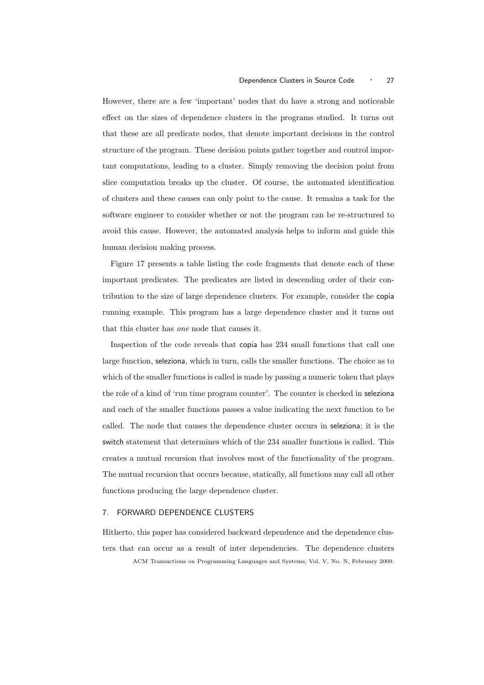However, there are a few 'important' nodes that do have a strong and noticeable effect on the sizes of dependence clusters in the programs studied. It turns out that these are all predicate nodes, that denote important decisions in the control structure of the program. These decision points gather together and control important computations, leading to a cluster. Simply removing the decision point from slice computation breaks up the cluster. Of course, the automated identification of clusters and these causes can only point to the cause. It remains a task for the software engineer to consider whether or not the program can be re-structured to avoid this cause. However, the automated analysis helps to inform and guide this human decision making process.

Figure 17 presents a table listing the code fragments that denote each of these important predicates. The predicates are listed in descending order of their contribution to the size of large dependence clusters. For example, consider the copia running example. This program has a large dependence cluster and it turns out that this cluster has one node that causes it.

Inspection of the code reveals that copia has 234 small functions that call one large function, seleziona, which in turn, calls the smaller functions. The choice as to which of the smaller functions is called is made by passing a numeric token that plays the role of a kind of 'run time program counter'. The counter is checked in seleziona and each of the smaller functions passes a value indicating the next function to be called. The node that causes the dependence cluster occurs in seleziona; it is the switch statement that determines which of the 234 smaller functions is called. This creates a mutual recursion that involves most of the functionality of the program. The mutual recursion that occurs because, statically, all functions may call all other functions producing the large dependence cluster.

# 7. FORWARD DEPENDENCE CLUSTERS

Hitherto, this paper has considered backward dependence and the dependence clusters that can occur as a result of inter dependencies. The dependence clusters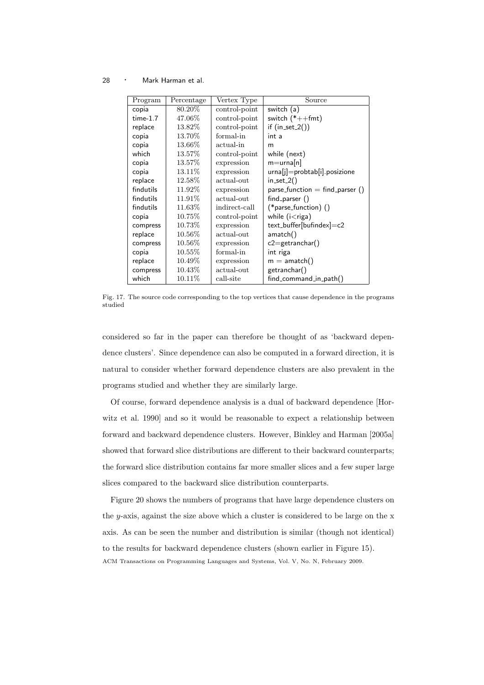| Program    | Percentage | Vertex Type   | Source                           |
|------------|------------|---------------|----------------------------------|
| copia      | 80.20\%    | control-point | switch (a)                       |
| $time-1.7$ | 47.06\%    | control-point | switch $(*++fmt)$                |
| replace    | 13.82\%    | control-point | if $(in_set_2())$                |
| copia      | 13.70\%    | formal-in     | int a                            |
| copia      | 13.66%     | actual-in     | m                                |
| which      | 13.57%     | control-point | while (next)                     |
| copia      | 13.57\%    | expression    | $m=urna[n]$                      |
| copia      | 13.11\%    | expression    | urna[j]=probtab[i].posizione     |
| replace    | 12.58\%    | actual-out    | $in\_set_2()$                    |
| findutils  | 11.92\%    | expression    | $parse_function = find\_parse()$ |
| findutils  | 11.91%     | actual-out    | find_parser ()                   |
| findutils  | 11.63\%    | indirect-call | $(*parse_function)$ ()           |
| copia      | 10.75%     | control-point | while $(i <$ riga)               |
| compress   | 10.73\%    | expression    | text_buffer[bufindex]=c2         |
| replace    | 10.56\%    | actual-out    | amatch()                         |
| compress   | $10.56\%$  | expression    | $c2 = getranchar()$              |
| copia      | $10.55\%$  | formal-in     | int riga                         |
| replace    | 10.49%     | expression    | $m = \text{amatch}()$            |
| compress   | 10.43\%    | actual-out    | getranchar()                     |
| which      | 10.11\%    | call-site     | $find_{command_{in}}()$          |

Fig. 17. The source code corresponding to the top vertices that cause dependence in the programs studied

considered so far in the paper can therefore be thought of as 'backward dependence clusters'. Since dependence can also be computed in a forward direction, it is natural to consider whether forward dependence clusters are also prevalent in the programs studied and whether they are similarly large.

Of course, forward dependence analysis is a dual of backward dependence [Horwitz et al. 1990] and so it would be reasonable to expect a relationship between forward and backward dependence clusters. However, Binkley and Harman [2005a] showed that forward slice distributions are different to their backward counterparts; the forward slice distribution contains far more smaller slices and a few super large slices compared to the backward slice distribution counterparts.

Figure 20 shows the numbers of programs that have large dependence clusters on the y-axis, against the size above which a cluster is considered to be large on the  $x$ axis. As can be seen the number and distribution is similar (though not identical) to the results for backward dependence clusters (shown earlier in Figure 15). ACM Transactions on Programming Languages and Systems, Vol. V, No. N, February 2009.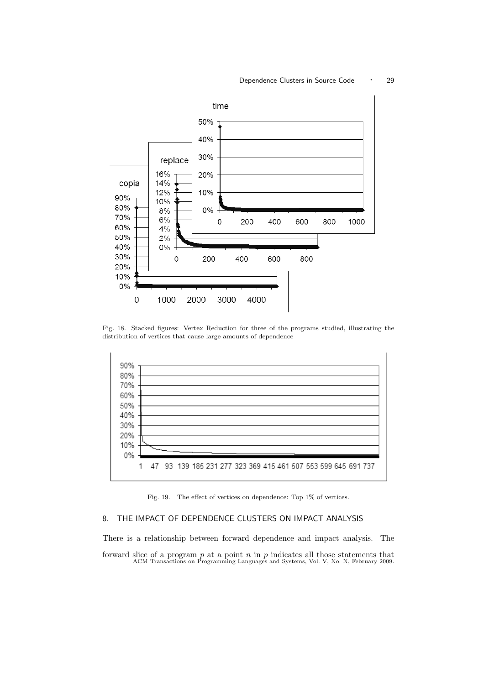

Fig. 18. Stacked figures: Vertex Reduction for three of the programs studied, illustrating the distribution of vertices that cause large amounts of dependence



Fig. 19. The effect of vertices on dependence: Top 1% of vertices.

# 8. THE IMPACT OF DEPENDENCE CLUSTERS ON IMPACT ANALYSIS

There is a relationship between forward dependence and impact analysis. The forward slice of a program  $p$  at a point  $n$  in  $p$  indicates all those statements that ACM Transactions on Programming Languages and Systems, Vol. V, No. N, February 2009.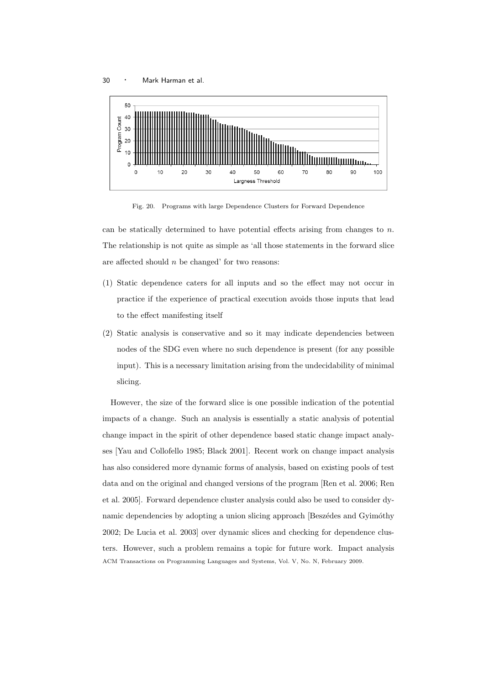

Fig. 20. Programs with large Dependence Clusters for Forward Dependence

can be statically determined to have potential effects arising from changes to  $n$ . The relationship is not quite as simple as 'all those statements in the forward slice are affected should  $n$  be changed' for two reasons:

- (1) Static dependence caters for all inputs and so the effect may not occur in practice if the experience of practical execution avoids those inputs that lead to the effect manifesting itself
- (2) Static analysis is conservative and so it may indicate dependencies between nodes of the SDG even where no such dependence is present (for any possible input). This is a necessary limitation arising from the undecidability of minimal slicing.

However, the size of the forward slice is one possible indication of the potential impacts of a change. Such an analysis is essentially a static analysis of potential change impact in the spirit of other dependence based static change impact analyses [Yau and Collofello 1985; Black 2001]. Recent work on change impact analysis has also considered more dynamic forms of analysis, based on existing pools of test data and on the original and changed versions of the program [Ren et al. 2006; Ren et al. 2005]. Forward dependence cluster analysis could also be used to consider dynamic dependencies by adopting a union slicing approach [Beszédes and Gyimóthy] 2002; De Lucia et al. 2003] over dynamic slices and checking for dependence clusters. However, such a problem remains a topic for future work. Impact analysis ACM Transactions on Programming Languages and Systems, Vol. V, No. N, February 2009.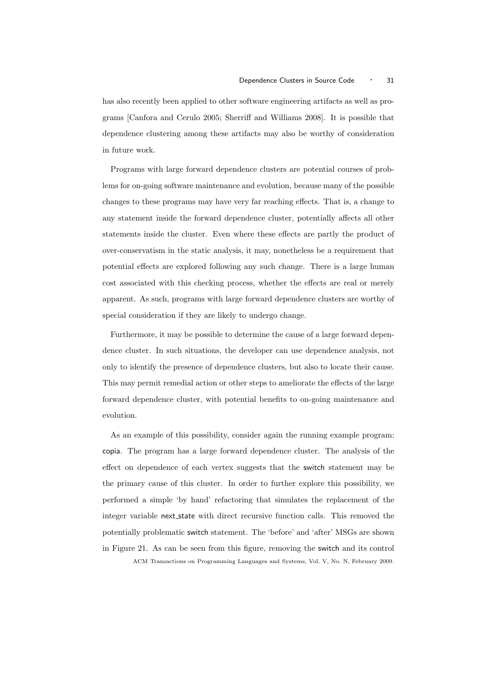has also recently been applied to other software engineering artifacts as well as programs [Canfora and Cerulo 2005; Sherriff and Williams 2008]. It is possible that dependence clustering among these artifacts may also be worthy of consideration in future work.

Programs with large forward dependence clusters are potential courses of problems for on-going software maintenance and evolution, because many of the possible changes to these programs may have very far reaching effects. That is, a change to any statement inside the forward dependence cluster, potentially affects all other statements inside the cluster. Even where these effects are partly the product of over-conservatism in the static analysis, it may, nonetheless be a requirement that potential effects are explored following any such change. There is a large human cost associated with this checking process, whether the effects are real or merely apparent. As such, programs with large forward dependence clusters are worthy of special consideration if they are likely to undergo change.

Furthermore, it may be possible to determine the cause of a large forward dependence cluster. In such situations, the developer can use dependence analysis, not only to identify the presence of dependence clusters, but also to locate their cause. This may permit remedial action or other steps to ameliorate the effects of the large forward dependence cluster, with potential benefits to on-going maintenance and evolution.

As an example of this possibility, consider again the running example program: copia. The program has a large forward dependence cluster. The analysis of the effect on dependence of each vertex suggests that the switch statement may be the primary cause of this cluster. In order to further explore this possibility, we performed a simple 'by hand' refactoring that simulates the replacement of the integer variable next state with direct recursive function calls. This removed the potentially problematic switch statement. The 'before' and 'after' MSGs are shown in Figure 21. As can be seen from this figure, removing the switch and its control ACM Transactions on Programming Languages and Systems, Vol. V, No. N, February 2009.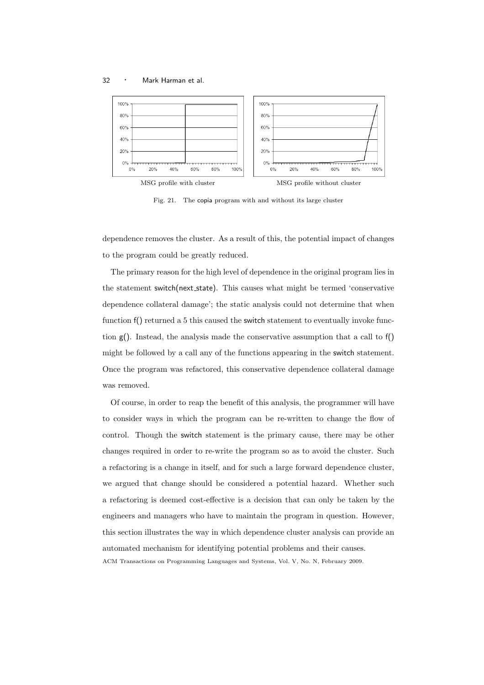

Fig. 21. The copia program with and without its large cluster

dependence removes the cluster. As a result of this, the potential impact of changes to the program could be greatly reduced.

The primary reason for the high level of dependence in the original program lies in the statement switch(next state). This causes what might be termed 'conservative dependence collateral damage'; the static analysis could not determine that when function f() returned a 5 this caused the switch statement to eventually invoke function  $g$ ). Instead, the analysis made the conservative assumption that a call to  $f$ ) might be followed by a call any of the functions appearing in the switch statement. Once the program was refactored, this conservative dependence collateral damage was removed.

Of course, in order to reap the benefit of this analysis, the programmer will have to consider ways in which the program can be re-written to change the flow of control. Though the switch statement is the primary cause, there may be other changes required in order to re-write the program so as to avoid the cluster. Such a refactoring is a change in itself, and for such a large forward dependence cluster, we argued that change should be considered a potential hazard. Whether such a refactoring is deemed cost-effective is a decision that can only be taken by the engineers and managers who have to maintain the program in question. However, this section illustrates the way in which dependence cluster analysis can provide an automated mechanism for identifying potential problems and their causes. ACM Transactions on Programming Languages and Systems, Vol. V, No. N, February 2009.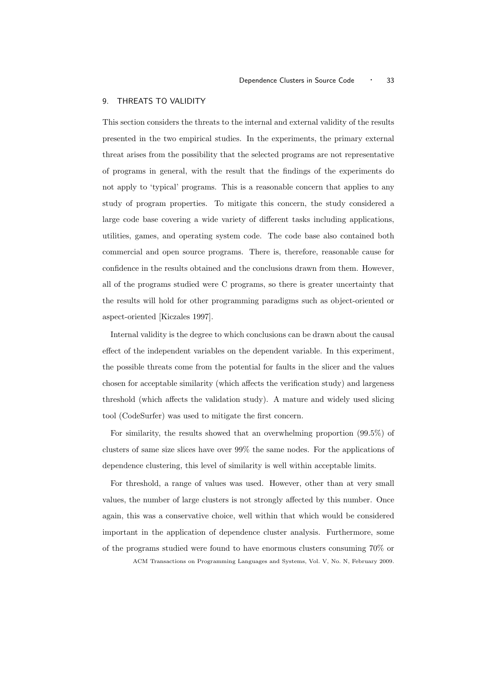### 9. THREATS TO VALIDITY

This section considers the threats to the internal and external validity of the results presented in the two empirical studies. In the experiments, the primary external threat arises from the possibility that the selected programs are not representative of programs in general, with the result that the findings of the experiments do not apply to 'typical' programs. This is a reasonable concern that applies to any study of program properties. To mitigate this concern, the study considered a large code base covering a wide variety of different tasks including applications, utilities, games, and operating system code. The code base also contained both commercial and open source programs. There is, therefore, reasonable cause for confidence in the results obtained and the conclusions drawn from them. However, all of the programs studied were C programs, so there is greater uncertainty that the results will hold for other programming paradigms such as object-oriented or aspect-oriented [Kiczales 1997].

Internal validity is the degree to which conclusions can be drawn about the causal effect of the independent variables on the dependent variable. In this experiment, the possible threats come from the potential for faults in the slicer and the values chosen for acceptable similarity (which affects the verification study) and largeness threshold (which affects the validation study). A mature and widely used slicing tool (CodeSurfer) was used to mitigate the first concern.

For similarity, the results showed that an overwhelming proportion (99.5%) of clusters of same size slices have over 99% the same nodes. For the applications of dependence clustering, this level of similarity is well within acceptable limits.

For threshold, a range of values was used. However, other than at very small values, the number of large clusters is not strongly affected by this number. Once again, this was a conservative choice, well within that which would be considered important in the application of dependence cluster analysis. Furthermore, some of the programs studied were found to have enormous clusters consuming 70% or

ACM Transactions on Programming Languages and Systems, Vol. V, No. N, February 2009.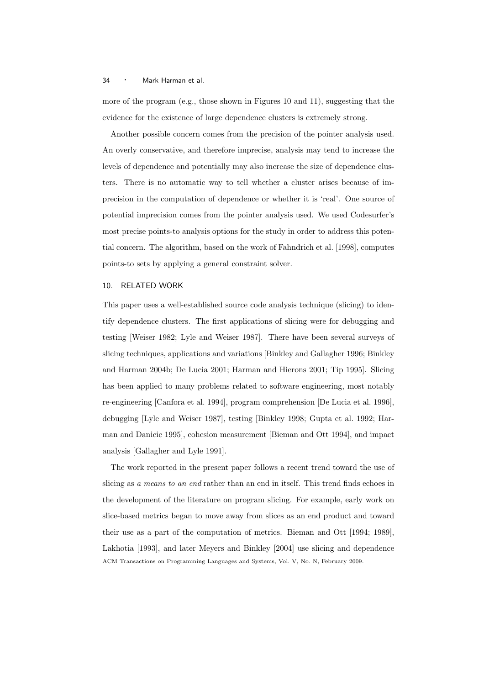more of the program (e.g., those shown in Figures 10 and 11), suggesting that the evidence for the existence of large dependence clusters is extremely strong.

Another possible concern comes from the precision of the pointer analysis used. An overly conservative, and therefore imprecise, analysis may tend to increase the levels of dependence and potentially may also increase the size of dependence clusters. There is no automatic way to tell whether a cluster arises because of imprecision in the computation of dependence or whether it is 'real'. One source of potential imprecision comes from the pointer analysis used. We used Codesurfer's most precise points-to analysis options for the study in order to address this potential concern. The algorithm, based on the work of Fahndrich et al. [1998], computes points-to sets by applying a general constraint solver.

### 10. RELATED WORK

This paper uses a well-established source code analysis technique (slicing) to identify dependence clusters. The first applications of slicing were for debugging and testing [Weiser 1982; Lyle and Weiser 1987]. There have been several surveys of slicing techniques, applications and variations [Binkley and Gallagher 1996; Binkley and Harman 2004b; De Lucia 2001; Harman and Hierons 2001; Tip 1995]. Slicing has been applied to many problems related to software engineering, most notably re-engineering [Canfora et al. 1994], program comprehension [De Lucia et al. 1996], debugging [Lyle and Weiser 1987], testing [Binkley 1998; Gupta et al. 1992; Harman and Danicic 1995], cohesion measurement [Bieman and Ott 1994], and impact analysis [Gallagher and Lyle 1991].

The work reported in the present paper follows a recent trend toward the use of slicing as a means to an end rather than an end in itself. This trend finds echoes in the development of the literature on program slicing. For example, early work on slice-based metrics began to move away from slices as an end product and toward their use as a part of the computation of metrics. Bieman and Ott [1994; 1989], Lakhotia [1993], and later Meyers and Binkley [2004] use slicing and dependence ACM Transactions on Programming Languages and Systems, Vol. V, No. N, February 2009.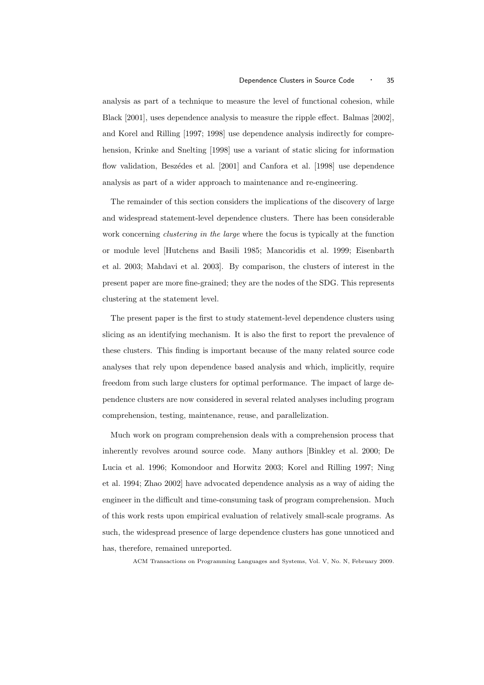analysis as part of a technique to measure the level of functional cohesion, while Black [2001], uses dependence analysis to measure the ripple effect. Balmas [2002], and Korel and Rilling [1997; 1998] use dependence analysis indirectly for comprehension, Krinke and Snelting [1998] use a variant of static slicing for information flow validation, Beszédes et al. [2001] and Canfora et al. [1998] use dependence analysis as part of a wider approach to maintenance and re-engineering.

The remainder of this section considers the implications of the discovery of large and widespread statement-level dependence clusters. There has been considerable work concerning *clustering in the large* where the focus is typically at the function or module level [Hutchens and Basili 1985; Mancoridis et al. 1999; Eisenbarth et al. 2003; Mahdavi et al. 2003]. By comparison, the clusters of interest in the present paper are more fine-grained; they are the nodes of the SDG. This represents clustering at the statement level.

The present paper is the first to study statement-level dependence clusters using slicing as an identifying mechanism. It is also the first to report the prevalence of these clusters. This finding is important because of the many related source code analyses that rely upon dependence based analysis and which, implicitly, require freedom from such large clusters for optimal performance. The impact of large dependence clusters are now considered in several related analyses including program comprehension, testing, maintenance, reuse, and parallelization.

Much work on program comprehension deals with a comprehension process that inherently revolves around source code. Many authors [Binkley et al. 2000; De Lucia et al. 1996; Komondoor and Horwitz 2003; Korel and Rilling 1997; Ning et al. 1994; Zhao 2002] have advocated dependence analysis as a way of aiding the engineer in the difficult and time-consuming task of program comprehension. Much of this work rests upon empirical evaluation of relatively small-scale programs. As such, the widespread presence of large dependence clusters has gone unnoticed and has, therefore, remained unreported.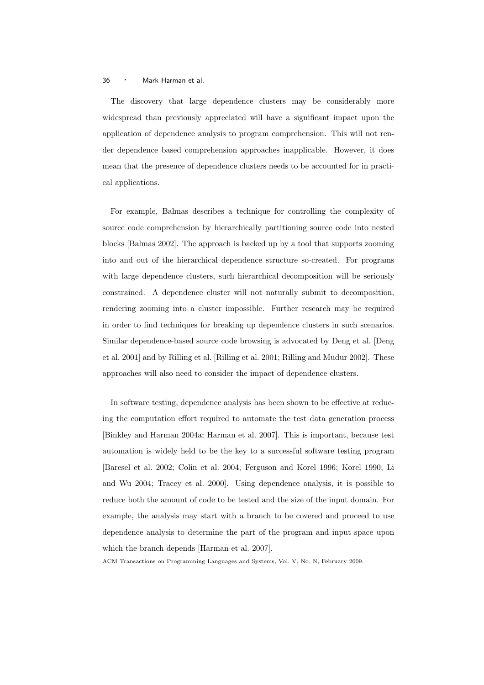The discovery that large dependence clusters may be considerably more widespread than previously appreciated will have a significant impact upon the application of dependence analysis to program comprehension. This will not render dependence based comprehension approaches inapplicable. However, it does mean that the presence of dependence clusters needs to be accounted for in practical applications.

For example, Balmas describes a technique for controlling the complexity of source code comprehension by hierarchically partitioning source code into nested blocks [Balmas 2002]. The approach is backed up by a tool that supports zooming into and out of the hierarchical dependence structure so-created. For programs with large dependence clusters, such hierarchical decomposition will be seriously constrained. A dependence cluster will not naturally submit to decomposition, rendering zooming into a cluster impossible. Further research may be required in order to find techniques for breaking up dependence clusters in such scenarios. Similar dependence-based source code browsing is advocated by Deng et al. [Deng et al. 2001] and by Rilling et al. [Rilling et al. 2001; Rilling and Mudur 2002]. These approaches will also need to consider the impact of dependence clusters.

In software testing, dependence analysis has been shown to be effective at reducing the computation effort required to automate the test data generation process [Binkley and Harman 2004a; Harman et al. 2007]. This is important, because test automation is widely held to be the key to a successful software testing program [Baresel et al. 2002; Colin et al. 2004; Ferguson and Korel 1996; Korel 1990; Li and Wu 2004; Tracey et al. 2000]. Using dependence analysis, it is possible to reduce both the amount of code to be tested and the size of the input domain. For example, the analysis may start with a branch to be covered and proceed to use dependence analysis to determine the part of the program and input space upon which the branch depends [Harman et al. 2007].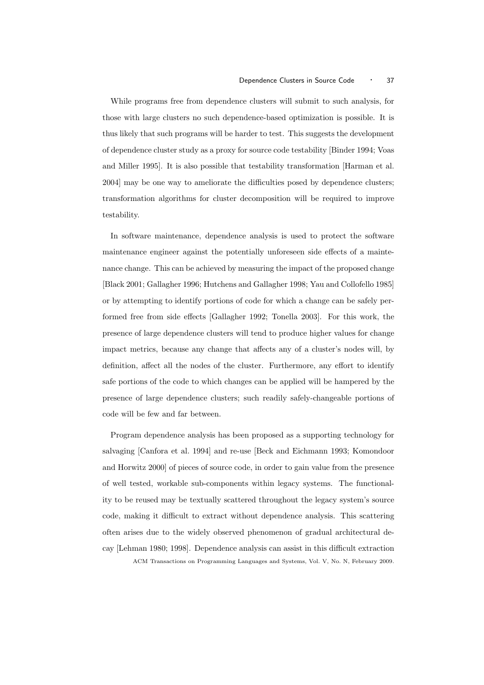While programs free from dependence clusters will submit to such analysis, for those with large clusters no such dependence-based optimization is possible. It is thus likely that such programs will be harder to test. This suggests the development of dependence cluster study as a proxy for source code testability [Binder 1994; Voas and Miller 1995]. It is also possible that testability transformation [Harman et al. 2004] may be one way to ameliorate the difficulties posed by dependence clusters; transformation algorithms for cluster decomposition will be required to improve testability.

In software maintenance, dependence analysis is used to protect the software maintenance engineer against the potentially unforeseen side effects of a maintenance change. This can be achieved by measuring the impact of the proposed change [Black 2001; Gallagher 1996; Hutchens and Gallagher 1998; Yau and Collofello 1985] or by attempting to identify portions of code for which a change can be safely performed free from side effects [Gallagher 1992; Tonella 2003]. For this work, the presence of large dependence clusters will tend to produce higher values for change impact metrics, because any change that affects any of a cluster's nodes will, by definition, affect all the nodes of the cluster. Furthermore, any effort to identify safe portions of the code to which changes can be applied will be hampered by the presence of large dependence clusters; such readily safely-changeable portions of code will be few and far between.

Program dependence analysis has been proposed as a supporting technology for salvaging [Canfora et al. 1994] and re-use [Beck and Eichmann 1993; Komondoor and Horwitz 2000] of pieces of source code, in order to gain value from the presence of well tested, workable sub-components within legacy systems. The functionality to be reused may be textually scattered throughout the legacy system's source code, making it difficult to extract without dependence analysis. This scattering often arises due to the widely observed phenomenon of gradual architectural decay [Lehman 1980; 1998]. Dependence analysis can assist in this difficult extraction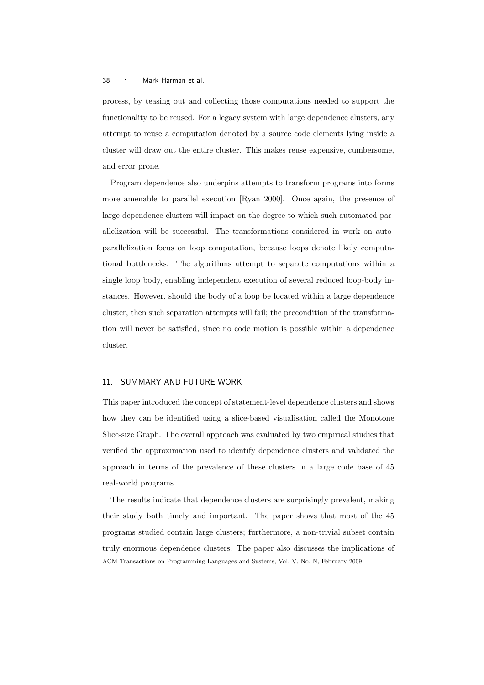process, by teasing out and collecting those computations needed to support the functionality to be reused. For a legacy system with large dependence clusters, any attempt to reuse a computation denoted by a source code elements lying inside a cluster will draw out the entire cluster. This makes reuse expensive, cumbersome, and error prone.

Program dependence also underpins attempts to transform programs into forms more amenable to parallel execution [Ryan 2000]. Once again, the presence of large dependence clusters will impact on the degree to which such automated parallelization will be successful. The transformations considered in work on autoparallelization focus on loop computation, because loops denote likely computational bottlenecks. The algorithms attempt to separate computations within a single loop body, enabling independent execution of several reduced loop-body instances. However, should the body of a loop be located within a large dependence cluster, then such separation attempts will fail; the precondition of the transformation will never be satisfied, since no code motion is possible within a dependence cluster.

### 11. SUMMARY AND FUTURE WORK

This paper introduced the concept of statement-level dependence clusters and shows how they can be identified using a slice-based visualisation called the Monotone Slice-size Graph. The overall approach was evaluated by two empirical studies that verified the approximation used to identify dependence clusters and validated the approach in terms of the prevalence of these clusters in a large code base of 45 real-world programs.

The results indicate that dependence clusters are surprisingly prevalent, making their study both timely and important. The paper shows that most of the 45 programs studied contain large clusters; furthermore, a non-trivial subset contain truly enormous dependence clusters. The paper also discusses the implications of ACM Transactions on Programming Languages and Systems, Vol. V, No. N, February 2009.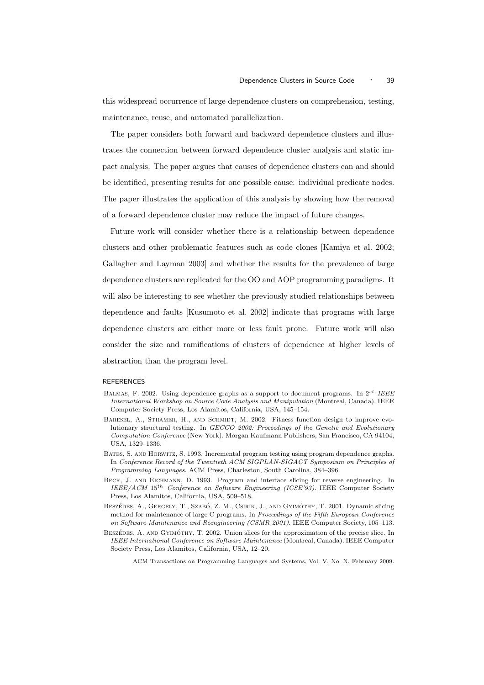this widespread occurrence of large dependence clusters on comprehension, testing, maintenance, reuse, and automated parallelization.

The paper considers both forward and backward dependence clusters and illustrates the connection between forward dependence cluster analysis and static impact analysis. The paper argues that causes of dependence clusters can and should be identified, presenting results for one possible cause: individual predicate nodes. The paper illustrates the application of this analysis by showing how the removal of a forward dependence cluster may reduce the impact of future changes.

Future work will consider whether there is a relationship between dependence clusters and other problematic features such as code clones [Kamiya et al. 2002; Gallagher and Layman 2003] and whether the results for the prevalence of large dependence clusters are replicated for the OO and AOP programming paradigms. It will also be interesting to see whether the previously studied relationships between dependence and faults [Kusumoto et al. 2002] indicate that programs with large dependence clusters are either more or less fault prone. Future work will also consider the size and ramifications of clusters of dependence at higher levels of abstraction than the program level.

#### **REFERENCES**

- Balmas, F. 2002. Using dependence graphs as a support to document programs. In 2st *IEEE International Workshop on Source Code Analysis and Manipulation* (Montreal, Canada). IEEE Computer Society Press, Los Alamitos, California, USA, 145–154.
- BARESEL, A., STHAMER, H., AND SCHMIDT, M. 2002. Fitness function design to improve evolutionary structural testing. In *GECCO 2002: Proceedings of the Genetic and Evolutionary Computation Conference* (New York). Morgan Kaufmann Publishers, San Francisco, CA 94104, USA, 1329–1336.
- Bates, S. and Horwitz, S. 1993. Incremental program testing using program dependence graphs. In *Conference Record of the Twentieth ACM SIGPLAN-SIGACT Symposium on Principles of Programming Languages*. ACM Press, Charleston, South Carolina, 384–396.
- BECK, J. AND EICHMANN, D. 1993. Program and interface slicing for reverse engineering. In *IEEE/ACM* 15th *Conference on Software Engineering (ICSE'93)*. IEEE Computer Society Press, Los Alamitos, California, USA, 509–518.
- BESZÉDES, A., GERGELY, T., SZABÓ, Z. M., CSIRIK, J., AND GYIMÓTHY, T. 2001. Dynamic slicing method for maintenance of large C programs. In *Proceedings of the Fifth European Conference on Software Maintenance and Reengineering (CSMR 2001)*. IEEE Computer Society, 105–113.
- BESZÉDES. A. AND GYIMÓTHY, T. 2002. Union slices for the approximation of the precise slice. In *IEEE International Conference on Software Maintenance* (Montreal, Canada). IEEE Computer Society Press, Los Alamitos, California, USA, 12–20.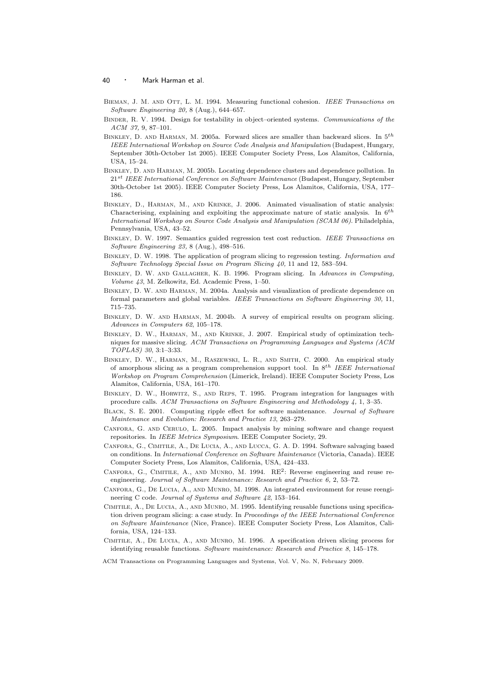- Bieman, J. M. and Ott, L. M. 1994. Measuring functional cohesion. *IEEE Transactions on Software Engineering 20,* 8 (Aug.), 644–657.
- Binder, R. V. 1994. Design for testability in object–oriented systems. *Communications of the ACM 37,* 9, 87–101.
- BINKLEY, D. AND HARMAN, M. 2005a. Forward slices are smaller than backward slices. In  $5^{th}$ *IEEE International Workshop on Source Code Analysis and Manipulation* (Budapest, Hungary, September 30th-October 1st 2005). IEEE Computer Society Press, Los Alamitos, California, USA, 15–24.
- Binkley, D. and Harman, M. 2005b. Locating dependence clusters and dependence pollution. In 21st *IEEE International Conference on Software Maintenance* (Budapest, Hungary, September 30th-October 1st 2005). IEEE Computer Society Press, Los Alamitos, California, USA, 177– 186.
- Binkley, D., Harman, M., and Krinke, J. 2006. Animated visualisation of static analysis: Characterising, explaining and exploiting the approximate nature of static analysis. In  $6^{th}$ *International Workshop on Source Code Analysis and Manipulation (SCAM 06)*. Philadelphia, Pennsylvania, USA, 43–52.
- Binkley, D. W. 1997. Semantics guided regression test cost reduction. *IEEE Transactions on Software Engineering 23,* 8 (Aug.), 498–516.
- Binkley, D. W. 1998. The application of program slicing to regression testing. *Information and Software Technology Special Issue on Program Slicing 40,* 11 and 12, 583–594.
- Binkley, D. W. and Gallagher, K. B. 1996. Program slicing. In *Advances in Computing, Volume 43*, M. Zelkowitz, Ed. Academic Press, 1–50.
- Binkley, D. W. and Harman, M. 2004a. Analysis and visualization of predicate dependence on formal parameters and global variables. *IEEE Transactions on Software Engineering 30,* 11, 715–735.
- Binkley, D. W. and Harman, M. 2004b. A survey of empirical results on program slicing. *Advances in Computers 62*, 105–178.
- Binkley, D. W., Harman, M., and Krinke, J. 2007. Empirical study of optimization techniques for massive slicing. *ACM Transactions on Programming Languages and Systems (ACM TOPLAS) 30*, 3:1–3:33.
- Binkley, D. W., Harman, M., Raszewski, L. R., and Smith, C. 2000. An empirical study of amorphous slicing as a program comprehension support tool. In 8th *IEEE International Workshop on Program Comprehension* (Limerick, Ireland). IEEE Computer Society Press, Los Alamitos, California, USA, 161–170.
- Binkley, D. W., Horwitz, S., and Reps, T. 1995. Program integration for languages with procedure calls. *ACM Transactions on Software Engineering and Methodology 4,* 1, 3–35.
- Black, S. E. 2001. Computing ripple effect for software maintenance. *Journal of Software Maintenance and Evolution: Research and Practice 13*, 263–279.
- Canfora, G. and Cerulo, L. 2005. Impact analysis by mining software and change request repositories. In *IEEE Metrics Symposium*. IEEE Computer Society, 29.
- Canfora, G., Cimitile, A., De Lucia, A., and Lucca, G. A. D. 1994. Software salvaging based on conditions. In *International Conference on Software Maintenance* (Victoria, Canada). IEEE Computer Society Press, Los Alamitos, California, USA, 424–433.
- CANFORA, G., CIMITILE, A., AND MUNRO, M. 1994. RE<sup>2</sup>: Reverse engineering and reuse reengineering. *Journal of Software Maintenance: Research and Practice 6,* 2, 53–72.
- Canfora, G., De Lucia, A., and Munro, M. 1998. An integrated environment for reuse reengineering C code. *Journal of Systems and Software 42*, 153–164.
- Cimitile, A., De Lucia, A., and Munro, M. 1995. Identifying reusable functions using specification driven program slicing: a case study. In *Proceedings of the IEEE International Conference on Software Maintenance* (Nice, France). IEEE Computer Society Press, Los Alamitos, California, USA, 124–133.
- Cimitile, A., De Lucia, A., and Munro, M. 1996. A specification driven slicing process for identifying reusable functions. *Software maintenance: Research and Practice 8*, 145–178.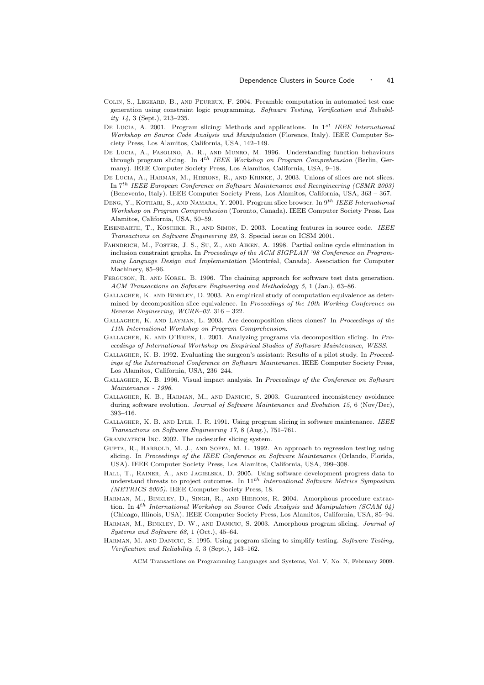- Colin, S., Legeard, B., and Peureux, F. 2004. Preamble computation in automated test case generation using constraint logic programming. *Software Testing, Verification and Reliability 14,* 3 (Sept.), 213–235.
- De Lucia, A. 2001. Program slicing: Methods and applications. In 1st *IEEE International Workshop on Source Code Analysis and Manipulation* (Florence, Italy). IEEE Computer Society Press, Los Alamitos, California, USA, 142–149.
- De Lucia, A., Fasolino, A. R., and Munro, M. 1996. Understanding function behaviours through program slicing. In 4th *IEEE Workshop on Program Comprehension* (Berlin, Germany). IEEE Computer Society Press, Los Alamitos, California, USA, 9–18.
- DE LUCIA, A., HARMAN, M., HIERONS, R., AND KRINKE, J. 2003. Unions of slices are not slices. In 7th *IEEE European Conference on Software Maintenance and Reengineering (CSMR 2003)* (Benevento, Italy). IEEE Computer Society Press, Los Alamitos, California, USA, 363 – 367.
- Deng, Y., Kothari, S., and Namara, Y. 2001. Program slice browser. In 9th *IEEE International Workshop on Program Comprenhesion* (Toronto, Canada). IEEE Computer Society Press, Los Alamitos, California, USA, 50–59.
- Eisenbarth, T., Koschke, R., and Simon, D. 2003. Locating features in source code. *IEEE Transactions on Software Engineering 29,* 3. Special issue on ICSM 2001.
- Fahndrich, M., Foster, J. S., Su, Z., and Aiken, A. 1998. Partial online cycle elimination in inclusion constraint graphs. In *Proceedings of the ACM SIGPLAN '98 Conference on Programming Language Design and Implementation* (Montréal, Canada). Association for Computer Machinery, 85–96.
- FERGUSON, R. AND KOREL, B. 1996. The chaining approach for software test data generation. *ACM Transactions on Software Engineering and Methodology 5,* 1 (Jan.), 63–86.
- Gallagher, K. and Binkley, D. 2003. An empirical study of computation equivalence as determined by decomposition slice equivalence. In *Proceedings of the 10th Working Conference on Reverse Engineering, WCRE–03*. 316 – 322.
- Gallagher, K. and Layman, L. 2003. Are decomposition slices clones? In *Proceedings of the 11th International Workshop on Program Comprehension*.
- Gallagher, K. and O'Brien, L. 2001. Analyzing programs via decomposition slicing. In *Proceedings of International Workshop on Empirical Studies of Software Maintenance, WESS*.
- Gallagher, K. B. 1992. Evaluating the surgeon's assistant: Results of a pilot study. In *Proceedings of the International Conference on Software Maintenance*. IEEE Computer Society Press, Los Alamitos, California, USA, 236–244.
- Gallagher, K. B. 1996. Visual impact analysis. In *Proceedings of the Conference on Software Maintenance - 1996*.
- Gallagher, K. B., Harman, M., and Danicic, S. 2003. Guaranteed inconsistency avoidance during software evolution. *Journal of Software Maintenance and Evolution 15,* 6 (Nov/Dec), 393–416.
- Gallagher, K. B. and Lyle, J. R. 1991. Using program slicing in software maintenance. *IEEE Transactions on Software Engineering 17,* 8 (Aug.), 751–761.
- Grammatech Inc. 2002. The codesurfer slicing system.
- Gupta, R., Harrold, M. J., and Soffa, M. L. 1992. An approach to regression testing using slicing. In *Proceedings of the IEEE Conference on Software Maintenance* (Orlando, Florida, USA). IEEE Computer Society Press, Los Alamitos, California, USA, 299–308.
- Hall, T., Rainer, A., and Jagielska, D. 2005. Using software development progress data to understand threats to project outcomes. In 11th *International Software Metrics Symposium (METRICS 2005)*. IEEE Computer Society Press, 18.
- HARMAN, M., BINKLEY, D., SINGH, R., AND HIERONS, R. 2004. Amorphous procedure extraction. In 4<sup>th</sup> *International Workshop on Source Code Analysis and Manipulation (SCAM 04)* (Chicago, Illinois, USA). IEEE Computer Society Press, Los Alamitos, California, USA, 85–94.
- Harman, M., Binkley, D. W., and Danicic, S. 2003. Amorphous program slicing. *Journal of Systems and Software 68,* 1 (Oct.), 45–64.
- Harman, M. and Danicic, S. 1995. Using program slicing to simplify testing. *Software Testing, Verification and Reliability 5,* 3 (Sept.), 143–162.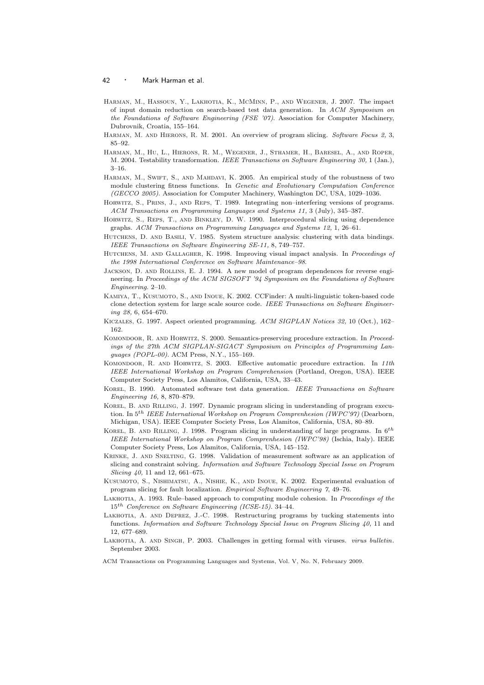- Harman, M., Hassoun, Y., Lakhotia, K., McMinn, P., and Wegener, J. 2007. The impact of input domain reduction on search-based test data generation. In *ACM Symposium on the Foundations of Software Engineering (FSE '07)*. Association for Computer Machinery, Dubrovnik, Croatia, 155–164.
- Harman, M. and Hierons, R. M. 2001. An overview of program slicing. *Software Focus 2,* 3, 85–92.
- Harman, M., Hu, L., Hierons, R. M., Wegener, J., Sthamer, H., Baresel, A., and Roper, M. 2004. Testability transformation. *IEEE Transactions on Software Engineering 30,* 1 (Jan.), 3–16.
- HARMAN, M., SWIFT, S., AND MAHDAVI, K. 2005. An empirical study of the robustness of two module clustering fitness functions. In *Genetic and Evolutionary Computation Conference (GECCO 2005)*. Association for Computer Machinery, Washington DC, USA, 1029–1036.
- Horwitz, S., Prins, J., and Reps, T. 1989. Integrating non–interfering versions of programs. *ACM Transactions on Programming Languages and Systems 11,* 3 (July), 345–387.
- Horwitz, S., Reps, T., and Binkley, D. W. 1990. Interprocedural slicing using dependence graphs. *ACM Transactions on Programming Languages and Systems 12,* 1, 26–61.
- Hutchens, D. and Basili, V. 1985. System structure analysis: clustering with data bindings. *IEEE Transactions on Software Engineering SE-11,* 8, 749–757.
- Hutchens, M. and Gallagher, K. 1998. Improving visual impact analysis. In *Proceedings of the 1998 International Conference on Software Maintenance–98*.
- Jackson, D. and Rollins, E. J. 1994. A new model of program dependences for reverse engineering. In *Proceedings of the ACM SIGSOFT '94 Symposium on the Foundations of Software Engineering*. 2–10.
- Kamiya, T., Kusumoto, S., and Inoue, K. 2002. CCFinder: A multi-linguistic token-based code clone detection system for large scale source code. *IEEE Transactions on Software Engineering 28,* 6, 654–670.
- Kiczales, G. 1997. Aspect oriented programming. *ACM SIGPLAN Notices 32,* 10 (Oct.), 162– 162.
- Komondoor, R. and Horwitz, S. 2000. Semantics-preserving procedure extraction. In *Proceedings of the 27th ACM SIGPLAN-SIGACT Symposium on Principles of Programming Languages (POPL-00)*. ACM Press, N.Y., 155–169.
- Komondoor, R. and Horwitz, S. 2003. Effective automatic procedure extraction. In *11th IEEE International Workshop on Program Comprehension* (Portland, Oregon, USA). IEEE Computer Society Press, Los Alamitos, California, USA, 33–43.
- Korel, B. 1990. Automated software test data generation. *IEEE Transactions on Software Engineering 16,* 8, 870–879.
- KOREL, B. AND RILLING, J. 1997. Dynamic program slicing in understanding of program execution. In 5th *IEEE International Workshop on Program Comprenhesion (IWPC'97)* (Dearborn, Michigan, USA). IEEE Computer Society Press, Los Alamitos, California, USA, 80–89.
- KOREL, B. AND RILLING, J. 1998. Program slicing in understanding of large programs. In  $6^{th}$ *IEEE International Workshop on Program Comprenhesion (IWPC'98)* (Ischia, Italy). IEEE Computer Society Press, Los Alamitos, California, USA, 145–152.
- Krinke, J. and Snelting, G. 1998. Validation of measurement software as an application of slicing and constraint solving. *Information and Software Technology Special Issue on Program Slicing 40,* 11 and 12, 661–675.
- Kusumoto, S., Nishimatsu, A., Nishie, K., and Inoue, K. 2002. Experimental evaluation of program slicing for fault localization. *Empirical Software Engineering 7*, 49–76.
- Lakhotia, A. 1993. Rule–based approach to computing module cohesion. In *Proceedings of the* 15th *Conference on Software Engineering (ICSE-15)*. 34–44.
- LAKHOTIA, A. AND DEPREZ, J.-C. 1998. Restructuring programs by tucking statements into functions. *Information and Software Technology Special Issue on Program Slicing 40,* 11 and 12, 677–689.
- Lakhotia, A. and Singh, P. 2003. Challenges in getting formal with viruses. *virus bulletin*. September 2003.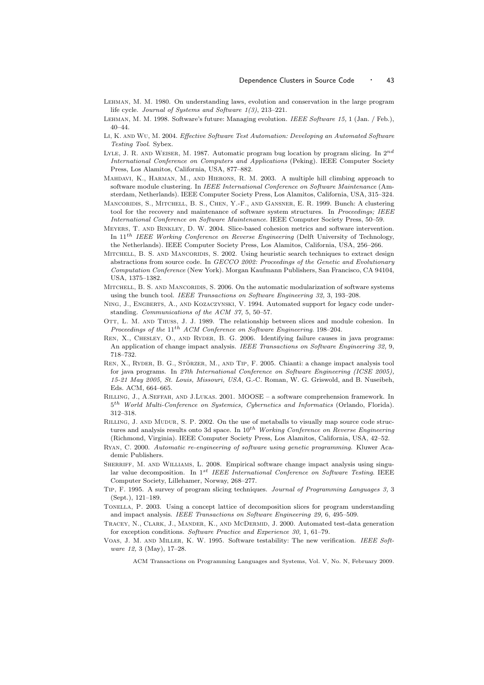- Lehman, M. M. 1980. On understanding laws, evolution and conservation in the large program life cycle. *Journal of Systems and Software 1(3)*, 213–221.
- Lehman, M. M. 1998. Software's future: Managing evolution. *IEEE Software 15,* 1 (Jan. / Feb.), 40–44.
- Li, K. and Wu, M. 2004. *Effective Software Test Automation: Developing an Automated Software Testing Tool*. Sybex.
- LYLE, J. R. AND WEISER, M. 1987. Automatic program bug location by program slicing. In  $2^{nd}$ *International Conference on Computers and Applications* (Peking). IEEE Computer Society Press, Los Alamitos, California, USA, 877–882.
- MAHDAVI, K., HARMAN, M., AND HIERONS, R. M. 2003. A multiple hill climbing approach to software module clustering. In *IEEE International Conference on Software Maintenance* (Amsterdam, Netherlands). IEEE Computer Society Press, Los Alamitos, California, USA, 315–324.
- Mancoridis, S., Mitchell, B. S., Chen, Y.-F., and Gansner, E. R. 1999. Bunch: A clustering tool for the recovery and maintenance of software system structures. In *Proceedings; IEEE International Conference on Software Maintenance*. IEEE Computer Society Press, 50–59.
- Meyers, T. and Binkley, D. W. 2004. Slice-based cohesion metrics and software intervention. In 11th *IEEE Working Conference on Reverse Engineering* (Delft University of Technology, the Netherlands). IEEE Computer Society Press, Los Alamitos, California, USA, 256–266.
- MITCHELL, B. S. AND MANCORIDIS, S. 2002. Using heuristic search techniques to extract design abstractions from source code. In *GECCO 2002: Proceedings of the Genetic and Evolutionary Computation Conference* (New York). Morgan Kaufmann Publishers, San Francisco, CA 94104, USA, 1375–1382.
- MITCHELL, B. S. AND MANCORIDIS, S. 2006. On the automatic modularization of software systems using the bunch tool. *IEEE Transactions on Software Engineering 32,* 3, 193–208.
- Ning, J., Engberts, A., and Kozaczynski, V. 1994. Automated support for legacy code understanding. *Communications of the ACM 37,* 5, 50–57.
- OTT, L. M. AND THUSS, J. J. 1989. The relationship between slices and module cohesion. In *Proceedings of the* 11th *ACM Conference on Software Engineering*. 198–204.
- Ren, X., Chesley, O., and Ryder, B. G. 2006. Identifying failure causes in java programs: An application of change impact analysis. *IEEE Transactions on Software Engineering 32,* 9, 718–732.
- REN, X., RYDER, B. G., STÖRZER, M., AND TIP, F. 2005. Chianti: a change impact analysis tool for java programs. In *27th International Conference on Software Engineering (ICSE 2005), 15-21 May 2005, St. Louis, Missouri, USA*, G.-C. Roman, W. G. Griswold, and B. Nuseibeh, Eds. ACM, 664–665.
- Rilling, J., A.Seffah, and J.Lukas. 2001. MOOSE a software comprehension framework. In 5 th *World Multi-Conference on Systemics, Cybernetics and Informatics* (Orlando, Florida). 312–318.
- Rilling, J. and Mudur, S. P. 2002. On the use of metaballs to visually map source code structures and analysis results onto 3d space. In  $10^{th}$  *Working Conference on Reverse Engineering* (Richmond, Virginia). IEEE Computer Society Press, Los Alamitos, California, USA, 42–52.
- Ryan, C. 2000. *Automatic re-engineering of software using genetic programming*. Kluwer Academic Publishers.
- SHERRIFF, M. AND WILLIAMS, L. 2008. Empirical software change impact analysis using singular value decomposition. In 1st *IEEE International Conference on Software Testing*. IEEE Computer Society, Lillehamer, Norway, 268–277.
- Tip, F. 1995. A survey of program slicing techniques. *Journal of Programming Languages 3,* 3 (Sept.), 121–189.
- Tonella, P. 2003. Using a concept lattice of decomposition slices for program understanding and impact analysis. *IEEE Transactions on Software Engineering 29,* 6, 495–509.
- TRACEY, N., CLARK, J., MANDER, K., AND MCDERMID, J. 2000. Automated test-data generation for exception conditions. *Software Practice and Experience 30,* 1, 61–79.
- Voas, J. M. and Miller, K. W. 1995. Software testability: The new verification. *IEEE Software 12,* 3 (May), 17–28.